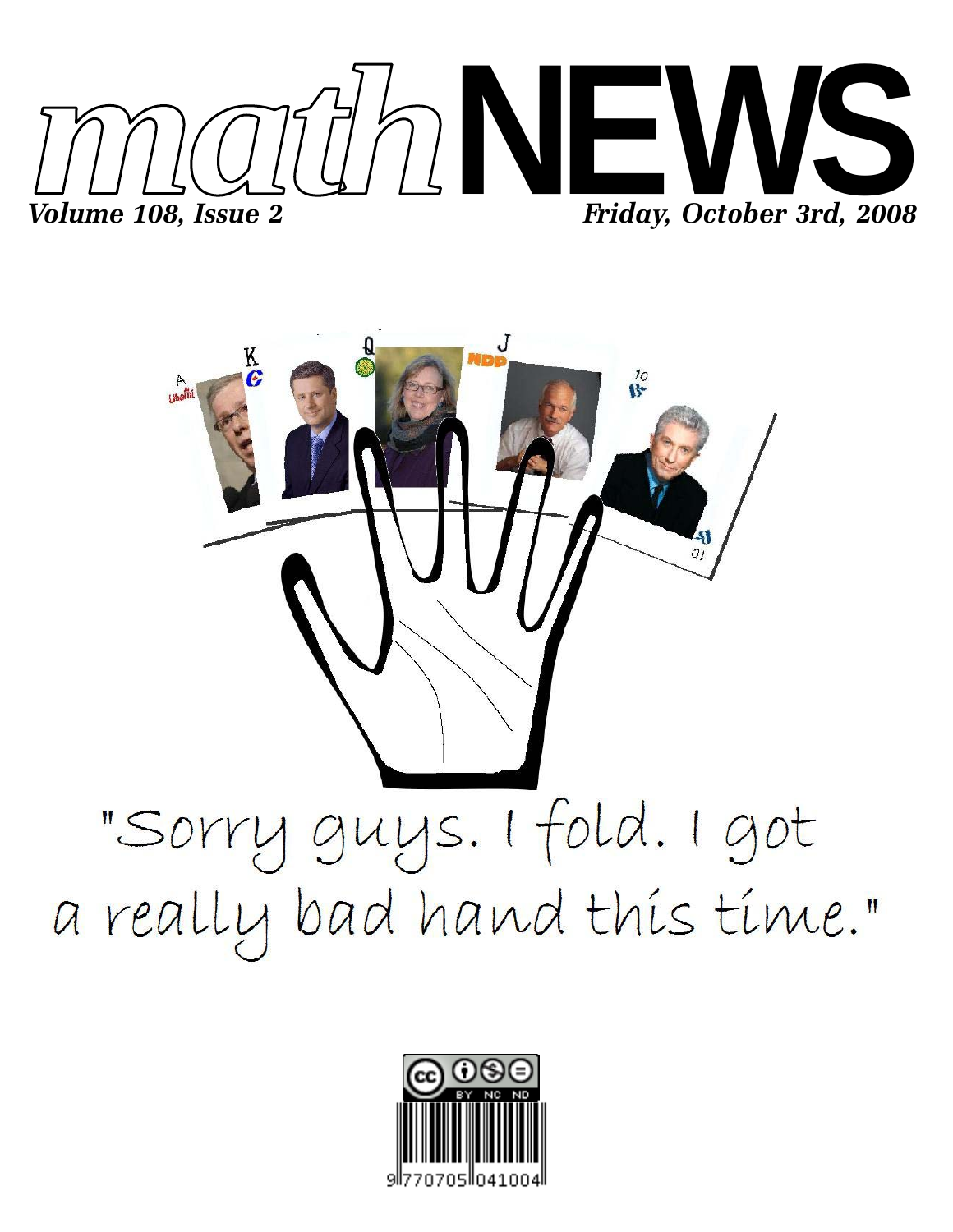



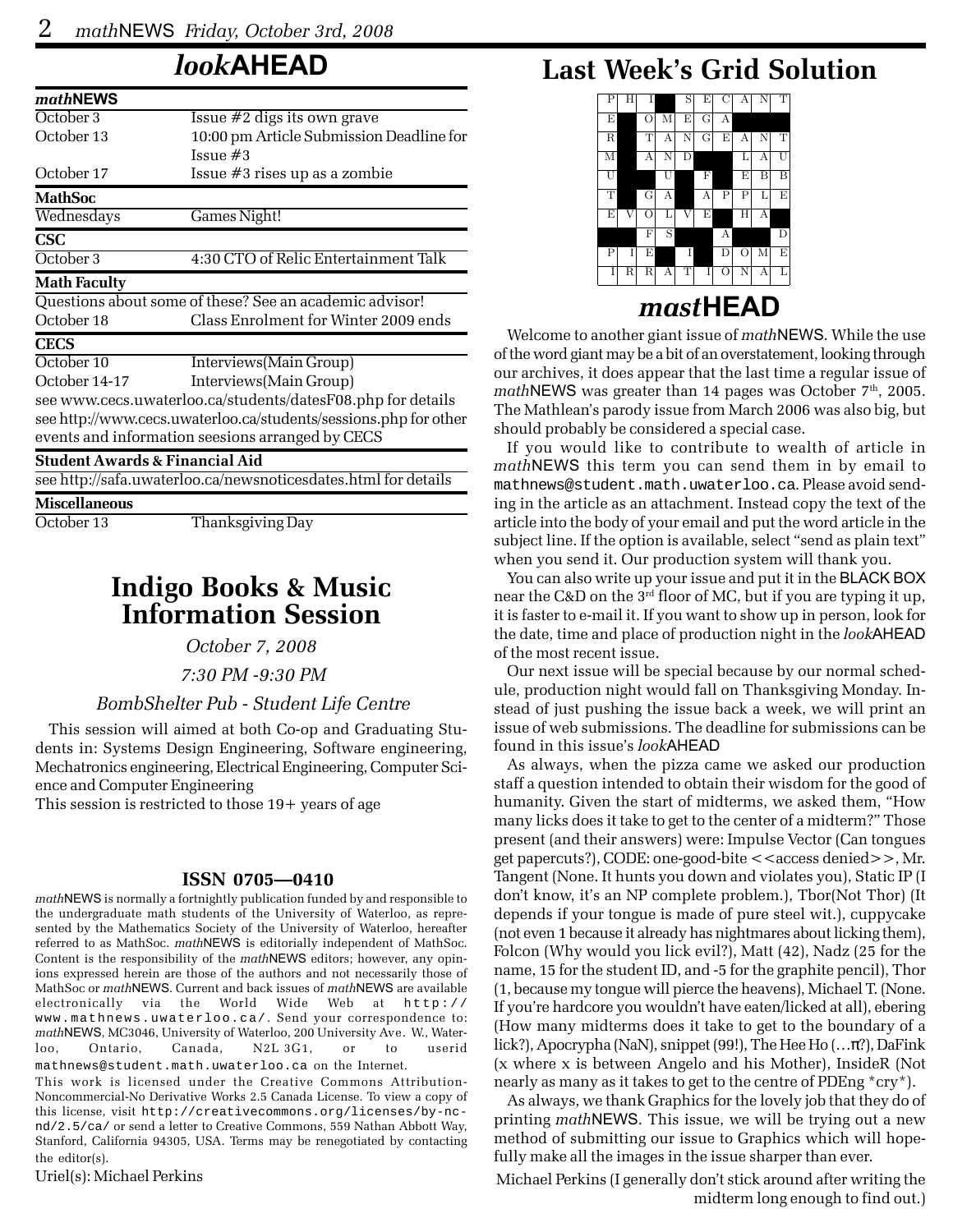## *look***AHEAD**

| mathNEWS                                  |                                                                  |  |  |  |  |
|-------------------------------------------|------------------------------------------------------------------|--|--|--|--|
| October <sub>3</sub>                      | Issue $#2$ digs its own grave                                    |  |  |  |  |
| October 13                                | 10:00 pm Article Submission Deadline for                         |  |  |  |  |
|                                           | Issue #3                                                         |  |  |  |  |
| October 17                                | Issue #3 rises up as a zombie                                    |  |  |  |  |
| <b>MathSoc</b>                            |                                                                  |  |  |  |  |
| Wednesdays                                | Games Night!                                                     |  |  |  |  |
| <b>CSC</b>                                |                                                                  |  |  |  |  |
| October 3                                 | 4:30 CTO of Relic Entertainment Talk                             |  |  |  |  |
| <b>Math Faculty</b>                       |                                                                  |  |  |  |  |
|                                           | Questions about some of these? See an academic advisor!          |  |  |  |  |
| October 18                                | Class Enrolment for Winter 2009 ends                             |  |  |  |  |
| <b>CECS</b>                               |                                                                  |  |  |  |  |
| October 10                                | Interviews(Main Group)                                           |  |  |  |  |
| October 14-17                             | Interviews(Main Group)                                           |  |  |  |  |
|                                           | see www.cecs.uwaterloo.ca/students/datesF08.php for details      |  |  |  |  |
|                                           | see http://www.cecs.uwaterloo.ca/students/sessions.php for other |  |  |  |  |
|                                           | events and information seesions arranged by CECS                 |  |  |  |  |
| <b>Student Awards &amp; Financial Aid</b> |                                                                  |  |  |  |  |
|                                           | see http://safa.uwaterloo.ca/newsnoticesdates.html for details   |  |  |  |  |
|                                           |                                                                  |  |  |  |  |

**Miscellaneous**

October 13 Thanksgiving Day

### **Indigo Books & Music Information Session**

*October 7, 2008*

 *7:30 PM -9:30 PM*

### *BombShelter Pub - Student Life Centre*

This session will aimed at both Co-op and Graduating Students in: Systems Design Engineering, Software engineering, Mechatronics engineering, Electrical Engineering, Computer Science and Computer Engineering

This session is restricted to those 19+ years of age

#### **ISSN 0705—0410**

*math*NEWS is normally a fortnightly publication funded by and responsible to the undergraduate math students of the University of Waterloo, as represented by the Mathematics Society of the University of Waterloo, hereafter referred to as MathSoc. *math*NEWS is editorially independent of MathSoc. Content is the responsibility of the *math*NEWS editors; however, any opinions expressed herein are those of the authors and not necessarily those of MathSoc or *math*NEWS. Current and back issues of *math*NEWS are available electronically via the World Wide Web at http:// www.mathnews.uwaterloo.ca/. Send your correspondence to: *math*NEWS, MC3046, University of Waterloo, 200 University Ave. W., Waterloo, Ontario, Canada, N2L 3G1, or to userid mathnews@student.math.uwaterloo.ca on the Internet.

This work is licensed under the Creative Commons Attribution-Noncommercial-No Derivative Works 2.5 Canada License. To view a copy of this license, visit http://creativecommons.org/licenses/by-ncnd/2.5/ca/ or send a letter to Creative Commons, 559 Nathan Abbott Way, Stanford, California 94305, USA. Terms may be renegotiated by contacting the editor(s).

Uriel(s): Michael Perkins

## **Last Week's Grid Solution**

| Ρ           | Н |               |   | S | E | С                  | А       | N | Т |
|-------------|---|---------------|---|---|---|--------------------|---------|---|---|
| E           |   | $\circ$       | M | E | G | А                  |         |   |   |
| $\mathbf R$ |   | Т             | А | N | G | E                  | А       | N | Т |
| M           |   | А             | N | D |   |                    | Г       | А | U |
| U           |   |               | Ū |   | F |                    | Ε       | Β | Β |
| T           |   | G             | А |   | А | Ρ                  | Ρ       | L | Ε |
| E           | V | $\rm \ddot O$ | L | V | E |                    | H       | А |   |
|             |   | $\mathbf{F}$  | S |   |   | А                  |         |   | D |
| P           | T | E             |   | I |   | $\mathbf D$        | $\rm O$ | M | E |
| Ι           | R | $\mathbf R$   | А | T | I | $\rm \ddot{\rm O}$ | Ñ       | А | L |

### *mast***HEAD**

Welcome to another giant issue of *math*NEWS. While the use of the word giant may be a bit of an overstatement, looking through our archives, it does appear that the last time a regular issue of *math*NEWS was greater than 14 pages was October 7<sup>th</sup>, 2005. The Mathlean's parody issue from March 2006 was also big, but should probably be considered a special case.

If you would like to contribute to wealth of article in *math*NEWS this term you can send them in by email to mathnews@student.math.uwaterloo.ca. Please avoid sending in the article as an attachment. Instead copy the text of the article into the body of your email and put the word article in the subject line. If the option is available, select "send as plain text" when you send it. Our production system will thank you.

You can also write up your issue and put it in the BLACK BOX near the C&D on the 3<sup>rd</sup> floor of MC, but if you are typing it up, it is faster to e-mail it. If you want to show up in person, look for the date, time and place of production night in the *look*AHEAD of the most recent issue.

Our next issue will be special because by our normal schedule, production night would fall on Thanksgiving Monday. Instead of just pushing the issue back a week, we will print an issue of web submissions. The deadline for submissions can be found in this issue's *look*AHEAD

As always, when the pizza came we asked our production staff a question intended to obtain their wisdom for the good of humanity. Given the start of midterms, we asked them, "How many licks does it take to get to the center of a midterm?" Those present (and their answers) were: Impulse Vector (Can tongues get papercuts?), CODE: one-good-bite <<access denied>>, Mr. Tangent (None. It hunts you down and violates you), Static IP (I don't know, it's an NP complete problem.), Tbor(Not Thor) (It depends if your tongue is made of pure steel wit.), cuppycake (not even 1 because it already has nightmares about licking them), Folcon (Why would you lick evil?), Matt (42), Nadz (25 for the name, 15 for the student ID, and -5 for the graphite pencil), Thor (1, because my tongue will pierce the heavens), Michael T. (None. If you're hardcore you wouldn't have eaten/licked at all), ebering (How many midterms does it take to get to the boundary of a lick?), Apocrypha (NaN), snippet (99!), The Hee Ho (…π?), DaFink (x where x is between Angelo and his Mother), InsideR (Not nearly as many as it takes to get to the centre of PDEng \*cry\*).

As always, we thank Graphics for the lovely job that they do of printing *math*NEWS. This issue, we will be trying out a new method of submitting our issue to Graphics which will hopefully make all the images in the issue sharper than ever.

Michael Perkins (I generally don't stick around after writing the midterm long enough to find out.)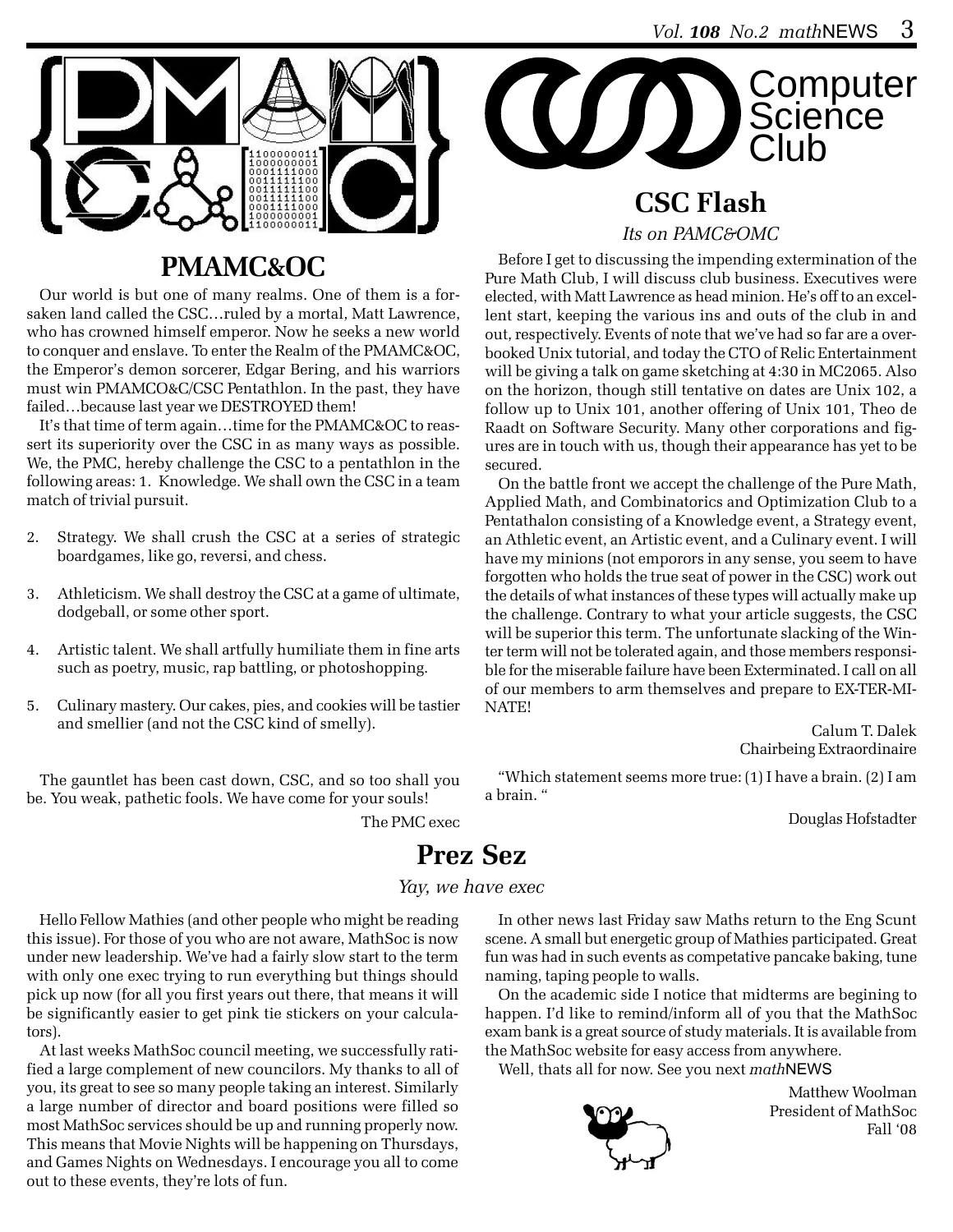**Club** 

**Computer** 

**Science** 



## **PMAMC&OC**

Our world is but one of many realms. One of them is a forsaken land called the CSC…ruled by a mortal, Matt Lawrence, who has crowned himself emperor. Now he seeks a new world to conquer and enslave. To enter the Realm of the PMAMC&OC, the Emperor's demon sorcerer, Edgar Bering, and his warriors must win PMAMCO&C/CSC Pentathlon. In the past, they have failed…because last year we DESTROYED them!

It's that time of term again…time for the PMAMC&OC to reassert its superiority over the CSC in as many ways as possible. We, the PMC, hereby challenge the CSC to a pentathlon in the following areas: 1. Knowledge. We shall own the CSC in a team match of trivial pursuit.

- 2. Strategy. We shall crush the CSC at a series of strategic boardgames, like go, reversi, and chess.
- 3. Athleticism. We shall destroy the CSC at a game of ultimate, dodgeball, or some other sport.
- 4. Artistic talent. We shall artfully humiliate them in fine arts such as poetry, music, rap battling, or photoshopping.
- 5. Culinary mastery. Our cakes, pies, and cookies will be tastier and smellier (and not the CSC kind of smelly).

The gauntlet has been cast down, CSC, and so too shall you be. You weak, pathetic fools. We have come for your souls!

The PMC exec

# **CSC Flash**

**COO** 

*Its on PAMC&OMC*

Before I get to discussing the impending extermination of the Pure Math Club, I will discuss club business. Executives were elected, with Matt Lawrence as head minion. He's off to an excellent start, keeping the various ins and outs of the club in and out, respectively. Events of note that we've had so far are a overbooked Unix tutorial, and today the CTO of Relic Entertainment will be giving a talk on game sketching at 4:30 in MC2065. Also on the horizon, though still tentative on dates are Unix 102, a follow up to Unix 101, another offering of Unix 101, Theo de Raadt on Software Security. Many other corporations and figures are in touch with us, though their appearance has yet to be secured.

On the battle front we accept the challenge of the Pure Math, Applied Math, and Combinatorics and Optimization Club to a Pentathalon consisting of a Knowledge event, a Strategy event, an Athletic event, an Artistic event, and a Culinary event. I will have my minions (not emporors in any sense, you seem to have forgotten who holds the true seat of power in the CSC) work out the details of what instances of these types will actually make up the challenge. Contrary to what your article suggests, the CSC will be superior this term. The unfortunate slacking of the Winter term will not be tolerated again, and those members responsible for the miserable failure have been Exterminated. I call on all of our members to arm themselves and prepare to EX-TER-MI-NATE!

> Calum T. Dalek Chairbeing Extraordinaire

"Which statement seems more true: (1) I have a brain. (2) I am a brain. "

Douglas Hofstadter

## **Prez Sez**

### *Yay, we have exec*

Hello Fellow Mathies (and other people who might be reading this issue). For those of you who are not aware, MathSoc is now under new leadership. We've had a fairly slow start to the term with only one exec trying to run everything but things should pick up now (for all you first years out there, that means it will be significantly easier to get pink tie stickers on your calculators).

At last weeks MathSoc council meeting, we successfully ratified a large complement of new councilors. My thanks to all of you, its great to see so many people taking an interest. Similarly a large number of director and board positions were filled so most MathSoc services should be up and running properly now. This means that Movie Nights will be happening on Thursdays, and Games Nights on Wednesdays. I encourage you all to come out to these events, they're lots of fun.

In other news last Friday saw Maths return to the Eng Scunt scene. A small but energetic group of Mathies participated. Great fun was had in such events as competative pancake baking, tune naming, taping people to walls.

On the academic side I notice that midterms are begining to happen. I'd like to remind/inform all of you that the MathSoc exam bank is a great source of study materials. It is available from the MathSoc website for easy access from anywhere.

Well, thats all for now. See you next *math*NEWS



Matthew Woolman President of MathSoc Fall '08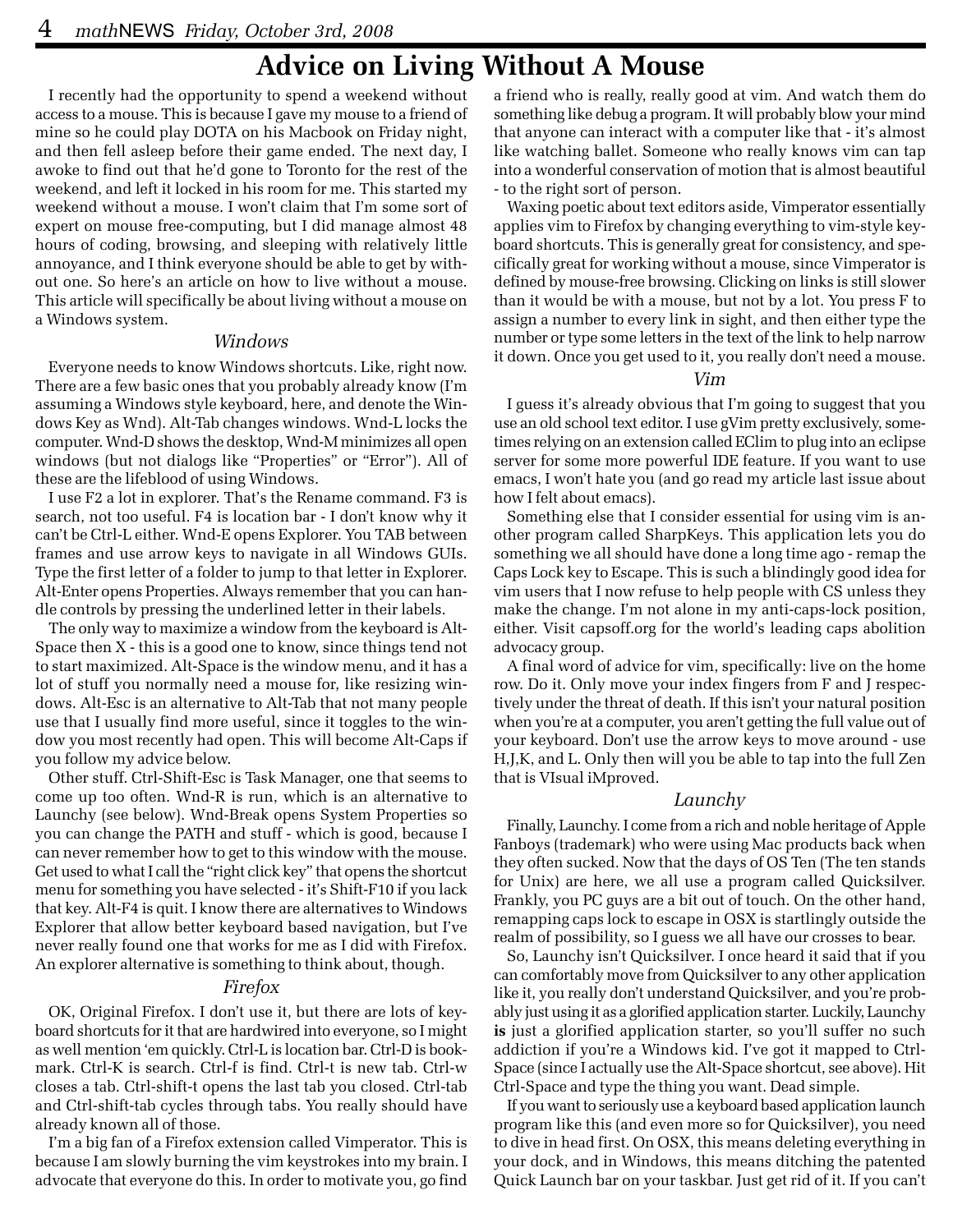### **Advice on Living Without A Mouse**

I recently had the opportunity to spend a weekend without access to a mouse. This is because I gave my mouse to a friend of mine so he could play DOTA on his Macbook on Friday night, and then fell asleep before their game ended. The next day, I awoke to find out that he'd gone to Toronto for the rest of the weekend, and left it locked in his room for me. This started my weekend without a mouse. I won't claim that I'm some sort of expert on mouse free-computing, but I did manage almost 48 hours of coding, browsing, and sleeping with relatively little annoyance, and I think everyone should be able to get by without one. So here's an article on how to live without a mouse. This article will specifically be about living without a mouse on a Windows system.

#### *Windows*

Everyone needs to know Windows shortcuts. Like, right now. There are a few basic ones that you probably already know (I'm assuming a Windows style keyboard, here, and denote the Windows Key as Wnd). Alt-Tab changes windows. Wnd-L locks the computer. Wnd-D shows the desktop, Wnd-M minimizes all open windows (but not dialogs like "Properties" or "Error"). All of these are the lifeblood of using Windows.

I use F2 a lot in explorer. That's the Rename command. F3 is search, not too useful. F4 is location bar - I don't know why it can't be Ctrl-L either. Wnd-E opens Explorer. You TAB between frames and use arrow keys to navigate in all Windows GUIs. Type the first letter of a folder to jump to that letter in Explorer. Alt-Enter opens Properties. Always remember that you can handle controls by pressing the underlined letter in their labels.

The only way to maximize a window from the keyboard is Alt-Space then X - this is a good one to know, since things tend not to start maximized. Alt-Space is the window menu, and it has a lot of stuff you normally need a mouse for, like resizing windows. Alt-Esc is an alternative to Alt-Tab that not many people use that I usually find more useful, since it toggles to the window you most recently had open. This will become Alt-Caps if you follow my advice below.

Other stuff. Ctrl-Shift-Esc is Task Manager, one that seems to come up too often. Wnd-R is run, which is an alternative to Launchy (see below). Wnd-Break opens System Properties so you can change the PATH and stuff - which is good, because I can never remember how to get to this window with the mouse. Get used to what I call the "right click key" that opens the shortcut menu for something you have selected - it's Shift-F10 if you lack that key. Alt-F4 is quit. I know there are alternatives to Windows Explorer that allow better keyboard based navigation, but I've never really found one that works for me as I did with Firefox. An explorer alternative is something to think about, though.

#### *Firefox*

OK, Original Firefox. I don't use it, but there are lots of keyboard shortcuts for it that are hardwired into everyone, so I might as well mention 'em quickly. Ctrl-L is location bar. Ctrl-D is bookmark. Ctrl-K is search. Ctrl-f is find. Ctrl-t is new tab. Ctrl-w closes a tab. Ctrl-shift-t opens the last tab you closed. Ctrl-tab and Ctrl-shift-tab cycles through tabs. You really should have already known all of those.

I'm a big fan of a Firefox extension called Vimperator. This is because I am slowly burning the vim keystrokes into my brain. I advocate that everyone do this. In order to motivate you, go find

a friend who is really, really good at vim. And watch them do something like debug a program. It will probably blow your mind that anyone can interact with a computer like that - it's almost like watching ballet. Someone who really knows vim can tap into a wonderful conservation of motion that is almost beautiful - to the right sort of person.

Waxing poetic about text editors aside, Vimperator essentially applies vim to Firefox by changing everything to vim-style keyboard shortcuts. This is generally great for consistency, and specifically great for working without a mouse, since Vimperator is defined by mouse-free browsing. Clicking on links is still slower than it would be with a mouse, but not by a lot. You press F to assign a number to every link in sight, and then either type the number or type some letters in the text of the link to help narrow it down. Once you get used to it, you really don't need a mouse.

#### *Vim*

I guess it's already obvious that I'm going to suggest that you use an old school text editor. I use gVim pretty exclusively, sometimes relying on an extension called EClim to plug into an eclipse server for some more powerful IDE feature. If you want to use emacs, I won't hate you (and go read my article last issue about how I felt about emacs).

Something else that I consider essential for using vim is another program called SharpKeys. This application lets you do something we all should have done a long time ago - remap the Caps Lock key to Escape. This is such a blindingly good idea for vim users that I now refuse to help people with CS unless they make the change. I'm not alone in my anti-caps-lock position, either. Visit capsoff.org for the world's leading caps abolition advocacy group.

A final word of advice for vim, specifically: live on the home row. Do it. Only move your index fingers from F and J respectively under the threat of death. If this isn't your natural position when you're at a computer, you aren't getting the full value out of your keyboard. Don't use the arrow keys to move around - use H,J,K, and L. Only then will you be able to tap into the full Zen that is VIsual iMproved.

#### *Launchy*

Finally, Launchy. I come from a rich and noble heritage of Apple Fanboys (trademark) who were using Mac products back when they often sucked. Now that the days of OS Ten (The ten stands for Unix) are here, we all use a program called Quicksilver. Frankly, you PC guys are a bit out of touch. On the other hand, remapping caps lock to escape in OSX is startlingly outside the realm of possibility, so I guess we all have our crosses to bear.

So, Launchy isn't Quicksilver. I once heard it said that if you can comfortably move from Quicksilver to any other application like it, you really don't understand Quicksilver, and you're probably just using it as a glorified application starter. Luckily, Launchy **is** just a glorified application starter, so you'll suffer no such addiction if you're a Windows kid. I've got it mapped to Ctrl-Space (since I actually use the Alt-Space shortcut, see above). Hit Ctrl-Space and type the thing you want. Dead simple.

If you want to seriously use a keyboard based application launch program like this (and even more so for Quicksilver), you need to dive in head first. On OSX, this means deleting everything in your dock, and in Windows, this means ditching the patented Quick Launch bar on your taskbar. Just get rid of it. If you can't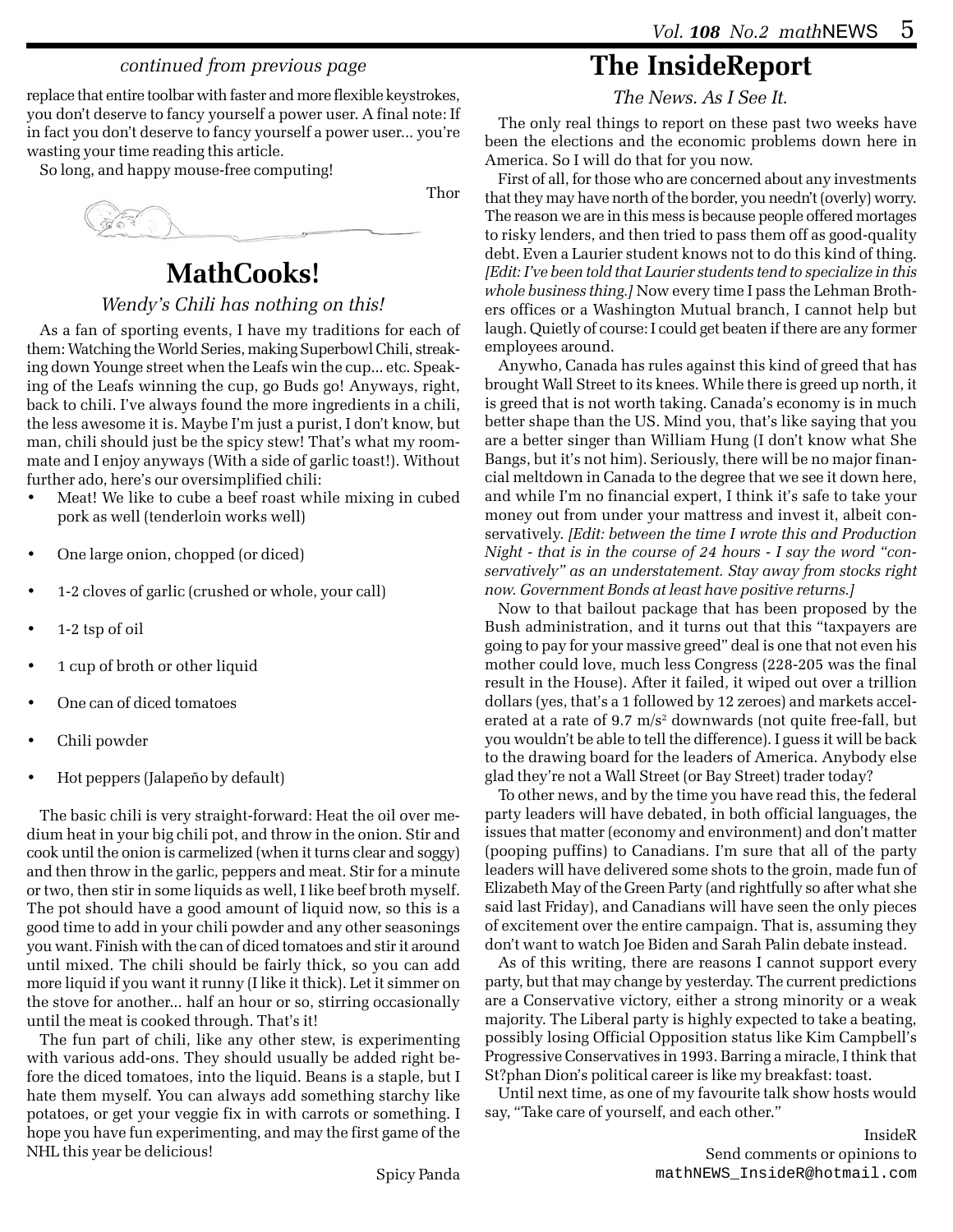### *continued from previous page*

replace that entire toolbar with faster and more flexible keystrokes, you don't deserve to fancy yourself a power user. A final note: If in fact you don't deserve to fancy yourself a power user... you're wasting your time reading this article.

So long, and happy mouse-free computing!



## **MathCooks!**

### *Wendy's Chili has nothing on this!*

As a fan of sporting events, I have my traditions for each of them: Watching the World Series, making Superbowl Chili, streaking down Younge street when the Leafs win the cup... etc. Speaking of the Leafs winning the cup, go Buds go! Anyways, right, back to chili. I've always found the more ingredients in a chili, the less awesome it is. Maybe I'm just a purist, I don't know, but man, chili should just be the spicy stew! That's what my roommate and I enjoy anyways (With a side of garlic toast!). Without further ado, here's our oversimplified chili:

- Meat! We like to cube a beef roast while mixing in cubed pork as well (tenderloin works well)
- One large onion, chopped (or diced)
- 1-2 cloves of garlic (crushed or whole, your call)
- 1-2 tsp of oil
- 1 cup of broth or other liquid
- One can of diced tomatoes
- Chili powder
- Hot peppers (Jalapeño by default)

The basic chili is very straight-forward: Heat the oil over medium heat in your big chili pot, and throw in the onion. Stir and cook until the onion is carmelized (when it turns clear and soggy) and then throw in the garlic, peppers and meat. Stir for a minute or two, then stir in some liquids as well, I like beef broth myself. The pot should have a good amount of liquid now, so this is a good time to add in your chili powder and any other seasonings you want. Finish with the can of diced tomatoes and stir it around until mixed. The chili should be fairly thick, so you can add more liquid if you want it runny (I like it thick). Let it simmer on the stove for another... half an hour or so, stirring occasionally until the meat is cooked through. That's it!

The fun part of chili, like any other stew, is experimenting with various add-ons. They should usually be added right before the diced tomatoes, into the liquid. Beans is a staple, but I hate them myself. You can always add something starchy like potatoes, or get your veggie fix in with carrots or something. I hope you have fun experimenting, and may the first game of the NHL this year be delicious!

## **The InsideReport**

*The News. As I See It.*

The only real things to report on these past two weeks have been the elections and the economic problems down here in America. So I will do that for you now.

First of all, for those who are concerned about any investments that they may have north of the border, you needn't (overly) worry. The reason we are in this mess is because people offered mortages to risky lenders, and then tried to pass them off as good-quality debt. Even a Laurier student knows not to do this kind of thing. *[Edit: I've been told that Laurier students tend to specialize in this whole business thing.]* Now every time I pass the Lehman Brothers offices or a Washington Mutual branch, I cannot help but laugh. Quietly of course: I could get beaten if there are any former employees around.

Anywho, Canada has rules against this kind of greed that has brought Wall Street to its knees. While there is greed up north, it is greed that is not worth taking. Canada's economy is in much better shape than the US. Mind you, that's like saying that you are a better singer than William Hung (I don't know what She Bangs, but it's not him). Seriously, there will be no major financial meltdown in Canada to the degree that we see it down here, and while I'm no financial expert, I think it's safe to take your money out from under your mattress and invest it, albeit conservatively. *[Edit: between the time I wrote this and Production Night - that is in the course of 24 hours - I say the word "conservatively" as an understatement. Stay away from stocks right now. Government Bonds at least have positive returns.]*

Now to that bailout package that has been proposed by the Bush administration, and it turns out that this "taxpayers are going to pay for your massive greed" deal is one that not even his mother could love, much less Congress (228-205 was the final result in the House). After it failed, it wiped out over a trillion dollars (yes, that's a 1 followed by 12 zeroes) and markets accelerated at a rate of 9.7 m/s² downwards (not quite free-fall, but you wouldn't be able to tell the difference). I guess it will be back to the drawing board for the leaders of America. Anybody else glad they're not a Wall Street (or Bay Street) trader today?

To other news, and by the time you have read this, the federal party leaders will have debated, in both official languages, the issues that matter (economy and environment) and don't matter (pooping puffins) to Canadians. I'm sure that all of the party leaders will have delivered some shots to the groin, made fun of Elizabeth May of the Green Party (and rightfully so after what she said last Friday), and Canadians will have seen the only pieces of excitement over the entire campaign. That is, assuming they don't want to watch Joe Biden and Sarah Palin debate instead.

As of this writing, there are reasons I cannot support every party, but that may change by yesterday. The current predictions are a Conservative victory, either a strong minority or a weak majority. The Liberal party is highly expected to take a beating, possibly losing Official Opposition status like Kim Campbell's Progressive Conservatives in 1993. Barring a miracle, I think that St?phan Dion's political career is like my breakfast: toast.

Until next time, as one of my favourite talk show hosts would say, "Take care of yourself, and each other."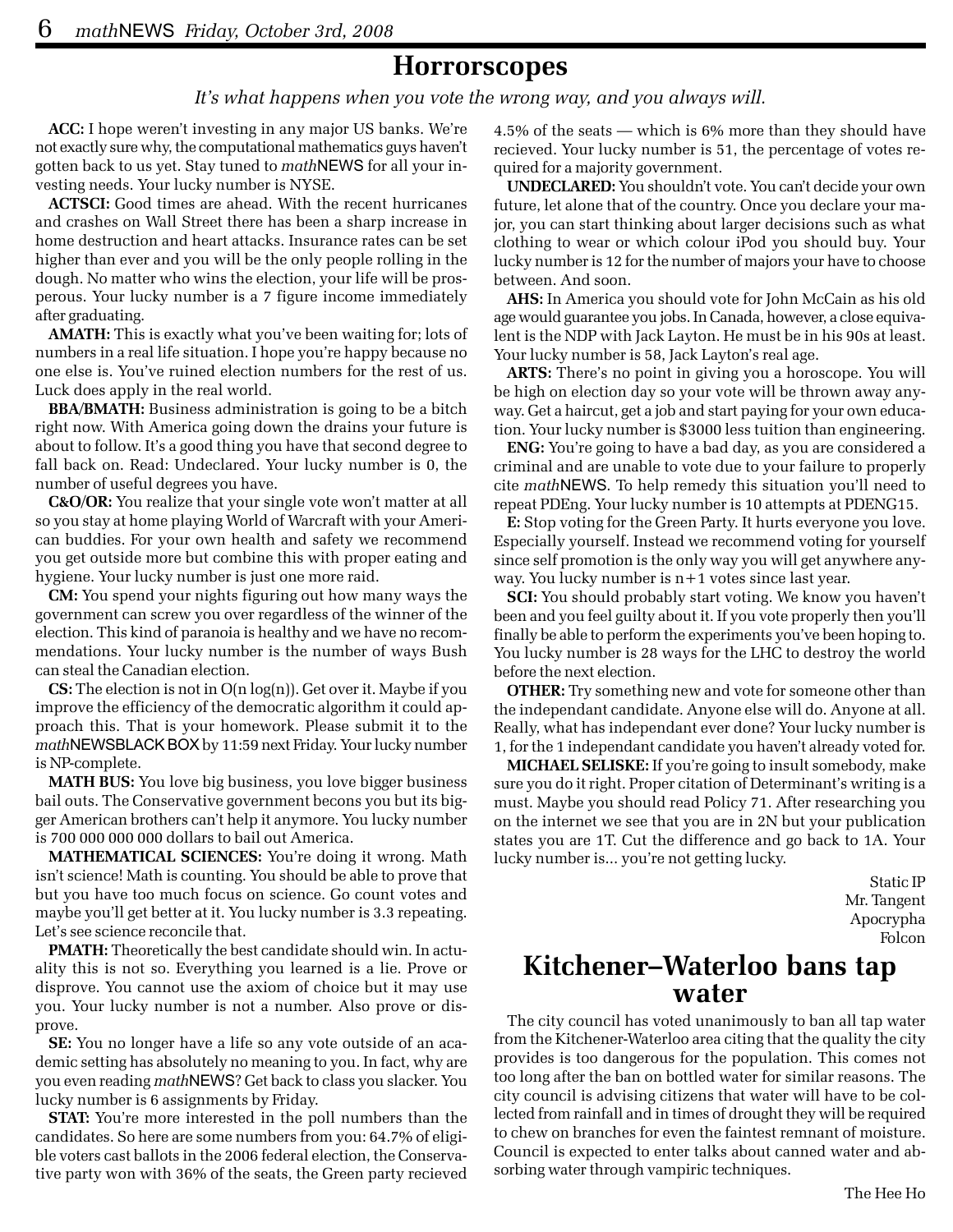### **Horrorscopes**

*It's what happens when you vote the wrong way, and you always will.*

**ACC:** I hope weren't investing in any major US banks. We're not exactly sure why, the computational mathematics guys haven't gotten back to us yet. Stay tuned to *math*NEWS for all your investing needs. Your lucky number is NYSE.

**ACTSCI:** Good times are ahead. With the recent hurricanes and crashes on Wall Street there has been a sharp increase in home destruction and heart attacks. Insurance rates can be set higher than ever and you will be the only people rolling in the dough. No matter who wins the election, your life will be prosperous. Your lucky number is a 7 figure income immediately after graduating.

**AMATH:** This is exactly what you've been waiting for; lots of numbers in a real life situation. I hope you're happy because no one else is. You've ruined election numbers for the rest of us. Luck does apply in the real world.

**BBA/BMATH:** Business administration is going to be a bitch right now. With America going down the drains your future is about to follow. It's a good thing you have that second degree to fall back on. Read: Undeclared. Your lucky number is 0, the number of useful degrees you have.

**C&O/OR:** You realize that your single vote won't matter at all so you stay at home playing World of Warcraft with your American buddies. For your own health and safety we recommend you get outside more but combine this with proper eating and hygiene. Your lucky number is just one more raid.

**CM:** You spend your nights figuring out how many ways the government can screw you over regardless of the winner of the election. This kind of paranoia is healthy and we have no recommendations. Your lucky number is the number of ways Bush can steal the Canadian election.

**CS:** The election is not in O(n log(n)). Get over it. Maybe if you improve the efficiency of the democratic algorithm it could approach this. That is your homework. Please submit it to the *math*NEWSBLACK BOX by 11:59 next Friday. Your lucky number is NP-complete.

**MATH BUS:** You love big business, you love bigger business bail outs. The Conservative government becons you but its bigger American brothers can't help it anymore. You lucky number is 700 000 000 000 dollars to bail out America.

**MATHEMATICAL SCIENCES:** You're doing it wrong. Math isn't science! Math is counting. You should be able to prove that but you have too much focus on science. Go count votes and maybe you'll get better at it. You lucky number is 3.3 repeating. Let's see science reconcile that.

**PMATH:** Theoretically the best candidate should win. In actuality this is not so. Everything you learned is a lie. Prove or disprove. You cannot use the axiom of choice but it may use you. Your lucky number is not a number. Also prove or disprove.

**SE:** You no longer have a life so any vote outside of an academic setting has absolutely no meaning to you. In fact, why are you even reading *math*NEWS? Get back to class you slacker. You lucky number is 6 assignments by Friday.

**STAT:** You're more interested in the poll numbers than the candidates. So here are some numbers from you: 64.7% of eligible voters cast ballots in the 2006 federal election, the Conservative party won with 36% of the seats, the Green party recieved 4.5% of the seats — which is 6% more than they should have recieved. Your lucky number is 51, the percentage of votes required for a majority government.

**UNDECLARED:** You shouldn't vote. You can't decide your own future, let alone that of the country. Once you declare your major, you can start thinking about larger decisions such as what clothing to wear or which colour iPod you should buy. Your lucky number is 12 for the number of majors your have to choose between. And soon.

**AHS:** In America you should vote for John McCain as his old age would guarantee you jobs. In Canada, however, a close equivalent is the NDP with Jack Layton. He must be in his 90s at least. Your lucky number is 58, Jack Layton's real age.

**ARTS:** There's no point in giving you a horoscope. You will be high on election day so your vote will be thrown away anyway. Get a haircut, get a job and start paying for your own education. Your lucky number is \$3000 less tuition than engineering.

**ENG:** You're going to have a bad day, as you are considered a criminal and are unable to vote due to your failure to properly cite *math*NEWS. To help remedy this situation you'll need to repeat PDEng. Your lucky number is 10 attempts at PDENG15.

**E:** Stop voting for the Green Party. It hurts everyone you love. Especially yourself. Instead we recommend voting for yourself since self promotion is the only way you will get anywhere anyway. You lucky number is n+1 votes since last year.

**SCI:** You should probably start voting. We know you haven't been and you feel guilty about it. If you vote properly then you'll finally be able to perform the experiments you've been hoping to. You lucky number is 28 ways for the LHC to destroy the world before the next election.

**OTHER:** Try something new and vote for someone other than the independant candidate. Anyone else will do. Anyone at all. Really, what has independant ever done? Your lucky number is 1, for the 1 independant candidate you haven't already voted for.

**MICHAEL SELISKE:** If you're going to insult somebody, make sure you do it right. Proper citation of Determinant's writing is a must. Maybe you should read Policy 71. After researching you on the internet we see that you are in 2N but your publication states you are 1T. Cut the difference and go back to 1A. Your lucky number is... you're not getting lucky.

> Static IP Mr. Tangent Apocrypha Folcon

### **Kitchener–Waterloo bans tap water**

The city council has voted unanimously to ban all tap water from the Kitchener-Waterloo area citing that the quality the city provides is too dangerous for the population. This comes not too long after the ban on bottled water for similar reasons. The city council is advising citizens that water will have to be collected from rainfall and in times of drought they will be required to chew on branches for even the faintest remnant of moisture. Council is expected to enter talks about canned water and absorbing water through vampiric techniques.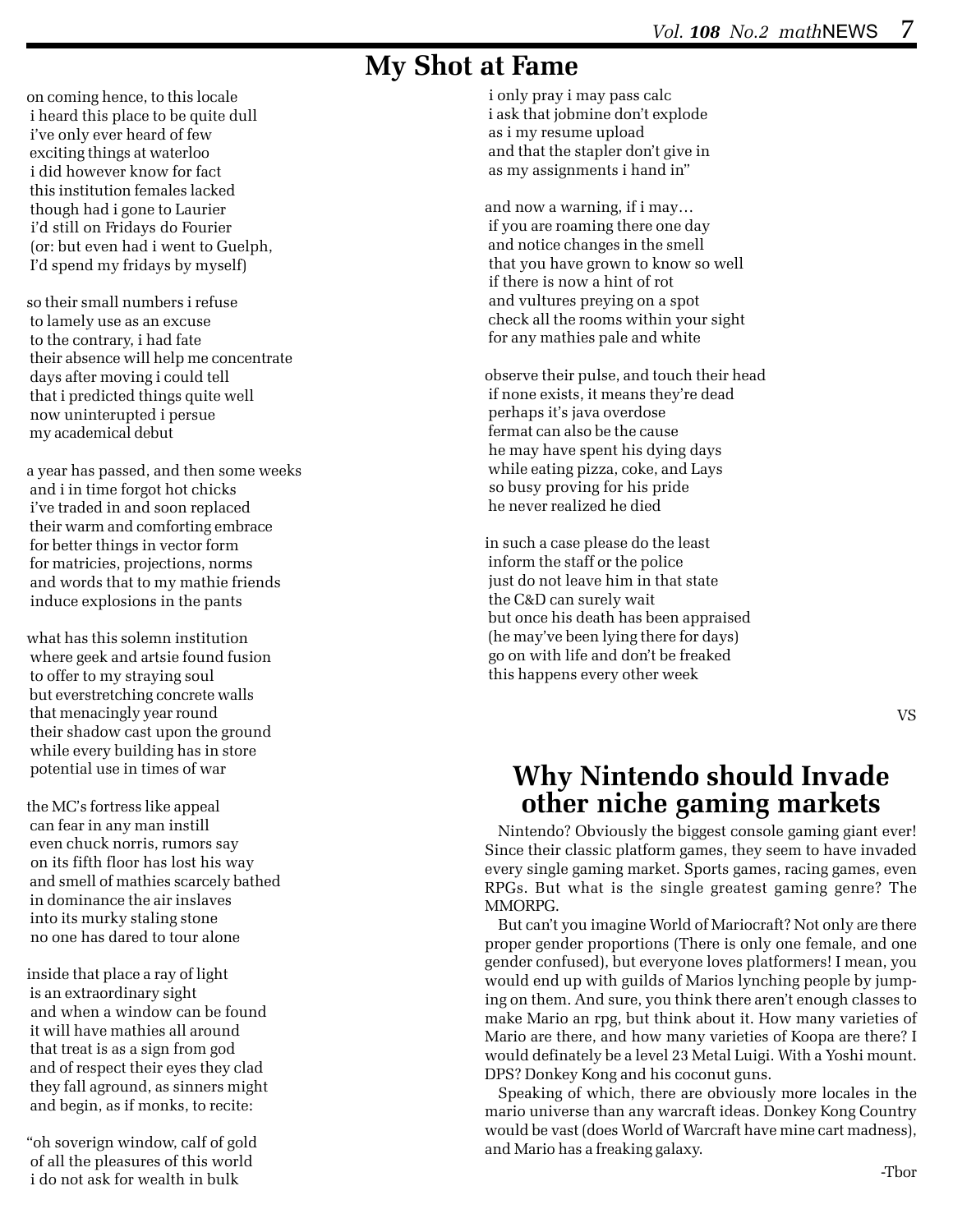## **My Shot at Fame**

on coming hence, to this locale i heard this place to be quite dull i've only ever heard of few exciting things at waterloo i did however know for fact this institution females lacked though had i gone to Laurier i'd still on Fridays do Fourier (or: but even had i went to Guelph, I'd spend my fridays by myself)

so their small numbers i refuse to lamely use as an excuse to the contrary, i had fate their absence will help me concentrate days after moving i could tell that i predicted things quite well now uninterupted i persue my academical debut

a year has passed, and then some weeks and i in time forgot hot chicks i've traded in and soon replaced their warm and comforting embrace for better things in vector form for matricies, projections, norms and words that to my mathie friends induce explosions in the pants

what has this solemn institution where geek and artsie found fusion to offer to my straying soul but everstretching concrete walls that menacingly year round their shadow cast upon the ground while every building has in store potential use in times of war

the MC's fortress like appeal can fear in any man instill even chuck norris, rumors say on its fifth floor has lost his way and smell of mathies scarcely bathed in dominance the air inslaves into its murky staling stone no one has dared to tour alone

inside that place a ray of light is an extraordinary sight and when a window can be found it will have mathies all around that treat is as a sign from god and of respect their eyes they clad they fall aground, as sinners might and begin, as if monks, to recite:

"oh soverign window, calf of gold of all the pleasures of this world i do not ask for wealth in bulk

 i only pray i may pass calc i ask that jobmine don't explode as i my resume upload and that the stapler don't give in as my assignments i hand in"

and now a warning, if i may… if you are roaming there one day and notice changes in the smell that you have grown to know so well if there is now a hint of rot and vultures preying on a spot check all the rooms within your sight for any mathies pale and white

observe their pulse, and touch their head if none exists, it means they're dead perhaps it's java overdose fermat can also be the cause he may have spent his dying days while eating pizza, coke, and Lays so busy proving for his pride he never realized he died

in such a case please do the least inform the staff or the police just do not leave him in that state the C&D can surely wait but once his death has been appraised (he may've been lying there for days) go on with life and don't be freaked this happens every other week

## **Why Nintendo should Invade other niche gaming markets**

Nintendo? Obviously the biggest console gaming giant ever! Since their classic platform games, they seem to have invaded every single gaming market. Sports games, racing games, even RPGs. But what is the single greatest gaming genre? The MMORPG.

But can't you imagine World of Mariocraft? Not only are there proper gender proportions (There is only one female, and one gender confused), but everyone loves platformers! I mean, you would end up with guilds of Marios lynching people by jumping on them. And sure, you think there aren't enough classes to make Mario an rpg, but think about it. How many varieties of Mario are there, and how many varieties of Koopa are there? I would definately be a level 23 Metal Luigi. With a Yoshi mount. DPS? Donkey Kong and his coconut guns.

Speaking of which, there are obviously more locales in the mario universe than any warcraft ideas. Donkey Kong Country would be vast (does World of Warcraft have mine cart madness), and Mario has a freaking galaxy.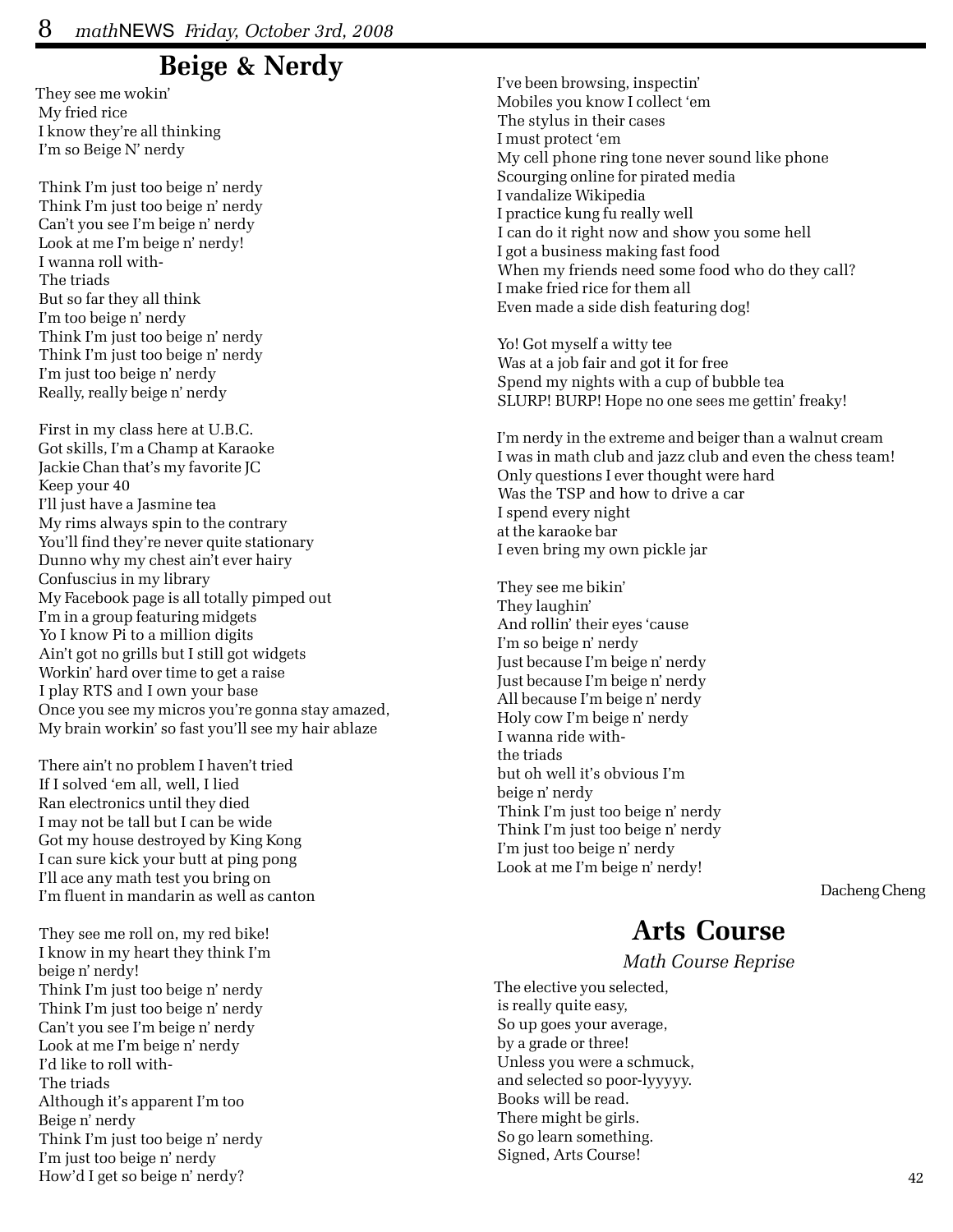## **Beige & Nerdy**

They see me wokin' My fried rice I know they're all thinking I'm so Beige N' nerdy

 Think I'm just too beige n' nerdy Think I'm just too beige n' nerdy Can't you see I'm beige n' nerdy Look at me I'm beige n' nerdy! I wanna roll with- The triads But so far they all think I'm too beige n' nerdy Think I'm just too beige n' nerdy Think I'm just too beige n' nerdy I'm just too beige n' nerdy Really, really beige n' nerdy

 First in my class here at U.B.C. Got skills, I'm a Champ at Karaoke Jackie Chan that's my favorite JC Keep your 40 I'll just have a Jasmine tea My rims always spin to the contrary You'll find they're never quite stationary Dunno why my chest ain't ever hairy Confuscius in my library My Facebook page is all totally pimped out I'm in a group featuring midgets Yo I know Pi to a million digits Ain't got no grills but I still got widgets Workin' hard over time to get a raise I play RTS and I own your base Once you see my micros you're gonna stay amazed, My brain workin' so fast you'll see my hair ablaze

 There ain't no problem I haven't tried If I solved 'em all, well, I lied Ran electronics until they died I may not be tall but I can be wide Got my house destroyed by King Kong I can sure kick your butt at ping pong I'll ace any math test you bring on I'm fluent in mandarin as well as canton

 They see me roll on, my red bike! I know in my heart they think I'm beige n' nerdy! Think I'm just too beige n' nerdy Think I'm just too beige n' nerdy Can't you see I'm beige n' nerdy Look at me I'm beige n' nerdy I'd like to roll with- The triads Although it's apparent I'm too Beige n' nerdy Think I'm just too beige n' nerdy I'm just too beige n' nerdy How'd I get so beige n' nerdy?

 I've been browsing, inspectin' Mobiles you know I collect 'em The stylus in their cases I must protect 'em My cell phone ring tone never sound like phone Scourging online for pirated media I vandalize Wikipedia I practice kung fu really well I can do it right now and show you some hell I got a business making fast food When my friends need some food who do they call? I make fried rice for them all Even made a side dish featuring dog!

 Yo! Got myself a witty tee Was at a job fair and got it for free Spend my nights with a cup of bubble tea SLURP! BURP! Hope no one sees me gettin' freaky!

 I'm nerdy in the extreme and beiger than a walnut cream I was in math club and jazz club and even the chess team! Only questions I ever thought were hard Was the TSP and how to drive a car I spend every night at the karaoke bar I even bring my own pickle jar

 They see me bikin' They laughin' And rollin' their eyes 'cause I'm so beige n' nerdy Just because I'm beige n' nerdy Just because I'm beige n' nerdy All because I'm beige n' nerdy Holy cow I'm beige n' nerdy I wanna ride with the triads but oh well it's obvious I'm beige n' nerdy Think I'm just too beige n' nerdy Think I'm just too beige n' nerdy I'm just too beige n' nerdy Look at me I'm beige n' nerdy!

Dacheng Cheng

### **Arts Course**

*Math Course Reprise*

The elective you selected, is really quite easy, So up goes your average, by a grade or three! Unless you were a schmuck, and selected so poor-lyyyyy. Books will be read. There might be girls. So go learn something. Signed, Arts Course!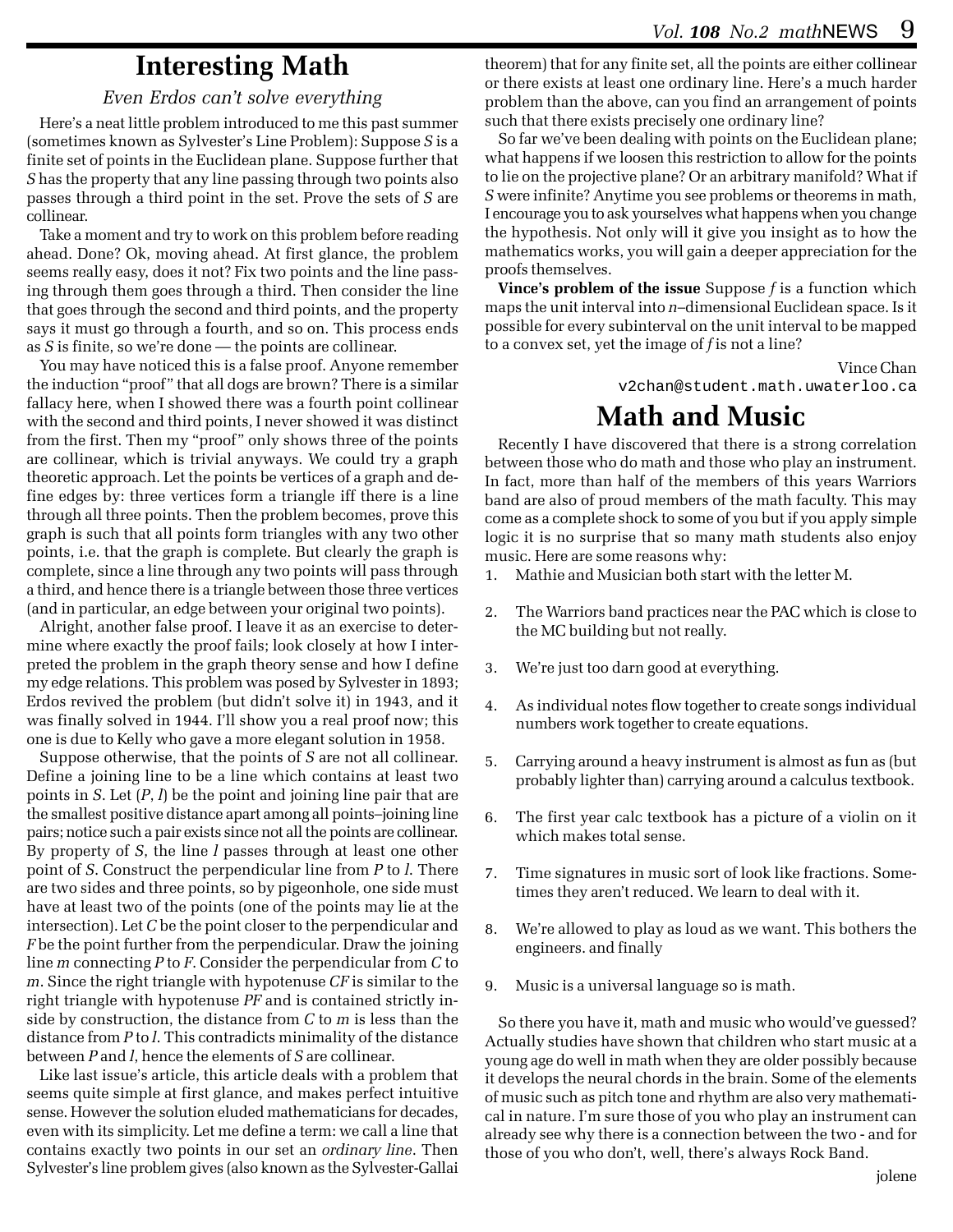## **Interesting Math**

### *Even Erdos can't solve everything*

Here's a neat little problem introduced to me this past summer (sometimes known as Sylvester's Line Problem): Suppose *S* is a finite set of points in the Euclidean plane. Suppose further that *S* has the property that any line passing through two points also passes through a third point in the set. Prove the sets of *S* are collinear.

Take a moment and try to work on this problem before reading ahead. Done? Ok, moving ahead. At first glance, the problem seems really easy, does it not? Fix two points and the line passing through them goes through a third. Then consider the line that goes through the second and third points, and the property says it must go through a fourth, and so on. This process ends as *S* is finite, so we're done — the points are collinear.

You may have noticed this is a false proof. Anyone remember the induction "proof" that all dogs are brown? There is a similar fallacy here, when I showed there was a fourth point collinear with the second and third points, I never showed it was distinct from the first. Then my "proof" only shows three of the points are collinear, which is trivial anyways. We could try a graph theoretic approach. Let the points be vertices of a graph and define edges by: three vertices form a triangle iff there is a line through all three points. Then the problem becomes, prove this graph is such that all points form triangles with any two other points, i.e. that the graph is complete. But clearly the graph is complete, since a line through any two points will pass through a third, and hence there is a triangle between those three vertices (and in particular, an edge between your original two points).

Alright, another false proof. I leave it as an exercise to determine where exactly the proof fails; look closely at how I interpreted the problem in the graph theory sense and how I define my edge relations. This problem was posed by Sylvester in 1893; Erdos revived the problem (but didn't solve it) in 1943, and it was finally solved in 1944. I'll show you a real proof now; this one is due to Kelly who gave a more elegant solution in 1958.

Suppose otherwise, that the points of *S* are not all collinear. Define a joining line to be a line which contains at least two points in *S*. Let (*P*, *l*) be the point and joining line pair that are the smallest positive distance apart among all points–joining line pairs; notice such a pair exists since not all the points are collinear. By property of *S*, the line *l* passes through at least one other point of *S*. Construct the perpendicular line from *P* to *l*. There are two sides and three points, so by pigeonhole, one side must have at least two of the points (one of the points may lie at the intersection). Let *C* be the point closer to the perpendicular and *F* be the point further from the perpendicular. Draw the joining line *m* connecting *P* to *F*. Consider the perpendicular from *C* to *m*. Since the right triangle with hypotenuse *CF* is similar to the right triangle with hypotenuse *PF* and is contained strictly inside by construction, the distance from *C* to *m* is less than the distance from *P* to *l*. This contradicts minimality of the distance between *P* and *l*, hence the elements of *S* are collinear.

Like last issue's article, this article deals with a problem that seems quite simple at first glance, and makes perfect intuitive sense. However the solution eluded mathematicians for decades, even with its simplicity. Let me define a term: we call a line that contains exactly two points in our set an *ordinary line*. Then Sylvester's line problem gives (also known as the Sylvester-Gallai

theorem) that for any finite set, all the points are either collinear or there exists at least one ordinary line. Here's a much harder problem than the above, can you find an arrangement of points such that there exists precisely one ordinary line?

So far we've been dealing with points on the Euclidean plane; what happens if we loosen this restriction to allow for the points to lie on the projective plane? Or an arbitrary manifold? What if *S* were infinite? Anytime you see problems or theorems in math, I encourage you to ask yourselves what happens when you change the hypothesis. Not only will it give you insight as to how the mathematics works, you will gain a deeper appreciation for the proofs themselves.

**Vince's problem of the issue** Suppose *f* is a function which maps the unit interval into *n*–dimensional Euclidean space. Is it possible for every subinterval on the unit interval to be mapped to a convex set, yet the image of *f* is not a line?

> Vince Chan v2chan@student.math.uwaterloo.ca

## **Math and Music**

Recently I have discovered that there is a strong correlation between those who do math and those who play an instrument. In fact, more than half of the members of this years Warriors band are also of proud members of the math faculty. This may come as a complete shock to some of you but if you apply simple logic it is no surprise that so many math students also enjoy music. Here are some reasons why:

- 1. Mathie and Musician both start with the letter M.
- 2. The Warriors band practices near the PAC which is close to the MC building but not really.
- 3. We're just too darn good at everything.
- 4. As individual notes flow together to create songs individual numbers work together to create equations.
- 5. Carrying around a heavy instrument is almost as fun as (but probably lighter than) carrying around a calculus textbook.
- 6. The first year calc textbook has a picture of a violin on it which makes total sense.
- 7. Time signatures in music sort of look like fractions. Sometimes they aren't reduced. We learn to deal with it.
- 8. We're allowed to play as loud as we want. This bothers the engineers. and finally
- 9. Music is a universal language so is math.

So there you have it, math and music who would've guessed? Actually studies have shown that children who start music at a young age do well in math when they are older possibly because it develops the neural chords in the brain. Some of the elements of music such as pitch tone and rhythm are also very mathematical in nature. I'm sure those of you who play an instrument can already see why there is a connection between the two - and for those of you who don't, well, there's always Rock Band.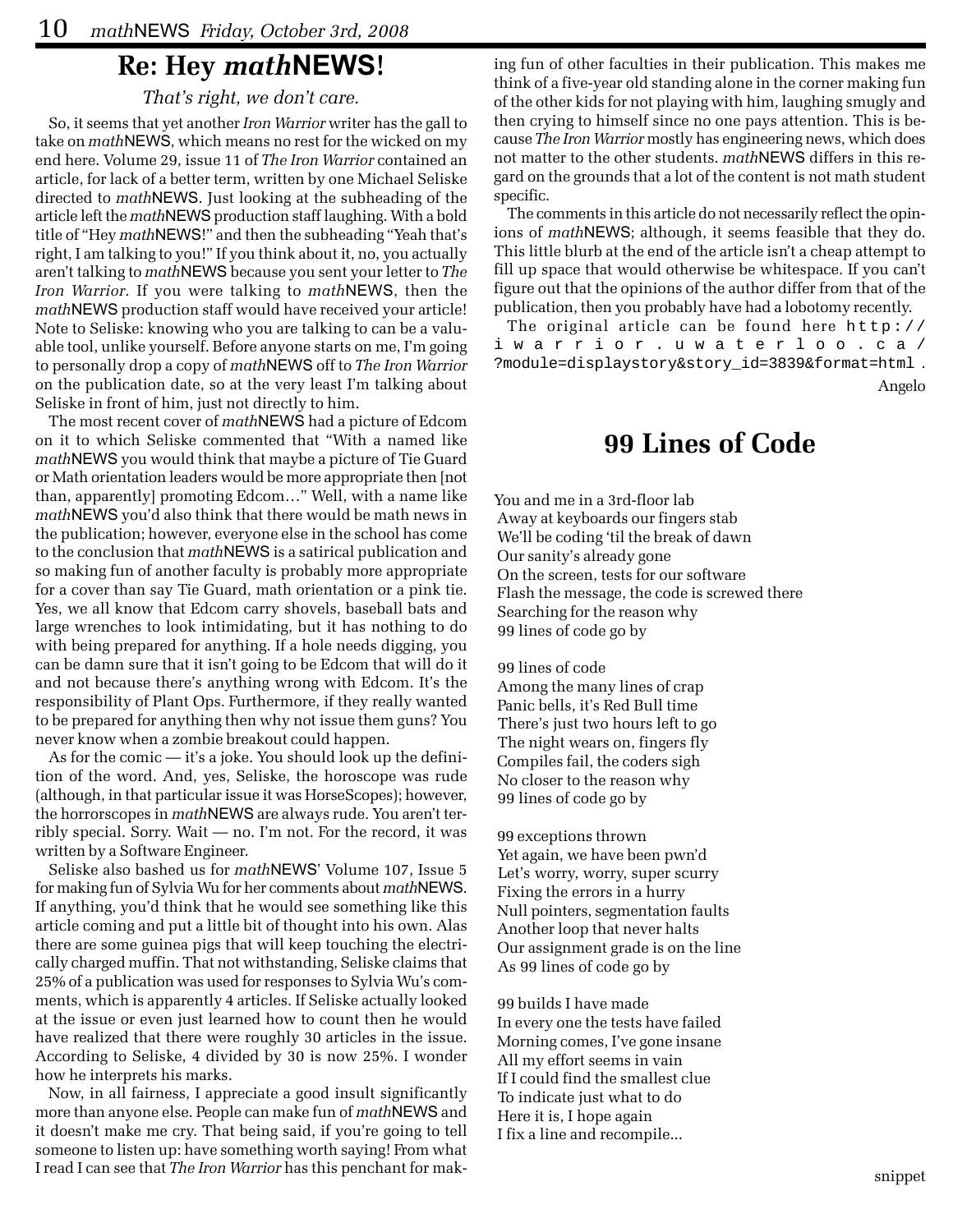### **Re: Hey** *math***NEWS!**

### *That's right, we don't care.*

So, it seems that yet another *Iron Warrior* writer has the gall to take on *math*NEWS, which means no rest for the wicked on my end here. Volume 29, issue 11 of *The Iron Warrior* contained an article, for lack of a better term, written by one Michael Seliske directed to *math*NEWS. Just looking at the subheading of the article left the *math*NEWS production staff laughing. With a bold title of "Hey *math*NEWS!" and then the subheading "Yeah that's right, I am talking to you!" If you think about it, no, you actually aren't talking to *math*NEWS because you sent your letter to *The Iron Warrior*. If you were talking to *math*NEWS, then the *math*NEWS production staff would have received your article! Note to Seliske: knowing who you are talking to can be a valuable tool, unlike yourself. Before anyone starts on me, I'm going to personally drop a copy of *math*NEWS off to *The Iron Warrior* on the publication date, so at the very least I'm talking about Seliske in front of him, just not directly to him.

The most recent cover of *math*NEWS had a picture of Edcom on it to which Seliske commented that "With a named like *math*NEWS you would think that maybe a picture of Tie Guard or Math orientation leaders would be more appropriate then [not than, apparently] promoting Edcom…" Well, with a name like *math*NEWS you'd also think that there would be math news in the publication; however, everyone else in the school has come to the conclusion that *math*NEWS is a satirical publication and so making fun of another faculty is probably more appropriate for a cover than say Tie Guard, math orientation or a pink tie. Yes, we all know that Edcom carry shovels, baseball bats and large wrenches to look intimidating, but it has nothing to do with being prepared for anything. If a hole needs digging, you can be damn sure that it isn't going to be Edcom that will do it and not because there's anything wrong with Edcom. It's the responsibility of Plant Ops. Furthermore, if they really wanted to be prepared for anything then why not issue them guns? You never know when a zombie breakout could happen.

As for the comic — it's a joke. You should look up the definition of the word. And, yes, Seliske, the horoscope was rude (although, in that particular issue it was HorseScopes); however, the horrorscopes in *math*NEWS are always rude. You aren't terribly special. Sorry. Wait — no. I'm not. For the record, it was written by a Software Engineer.

Seliske also bashed us for *math*NEWS' Volume 107, Issue 5 for making fun of Sylvia Wu for her comments about *math*NEWS. If anything, you'd think that he would see something like this article coming and put a little bit of thought into his own. Alas there are some guinea pigs that will keep touching the electrically charged muffin. That not withstanding, Seliske claims that 25% of a publication was used for responses to Sylvia Wu's comments, which is apparently 4 articles. If Seliske actually looked at the issue or even just learned how to count then he would have realized that there were roughly 30 articles in the issue. According to Seliske, 4 divided by 30 is now 25%. I wonder how he interprets his marks.

Now, in all fairness, I appreciate a good insult significantly more than anyone else. People can make fun of *math*NEWS and it doesn't make me cry. That being said, if you're going to tell someone to listen up: have something worth saying! From what I read I can see that *The Iron Warrior* has this penchant for making fun of other faculties in their publication. This makes me think of a five-year old standing alone in the corner making fun of the other kids for not playing with him, laughing smugly and then crying to himself since no one pays attention. This is because *The Iron Warrior* mostly has engineering news, which does not matter to the other students. *math*NEWS differs in this regard on the grounds that a lot of the content is not math student specific.

The comments in this article do not necessarily reflect the opinions of *math*NEWS; although, it seems feasible that they do. This little blurb at the end of the article isn't a cheap attempt to fill up space that would otherwise be whitespace. If you can't figure out that the opinions of the author differ from that of the publication, then you probably have had a lobotomy recently.

The original article can be found here http:// iwarrior.uwaterloo.ca/ ?module=displaystory&story\_id=3839&format=html . Angelo

### **99 Lines of Code**

You and me in a 3rd-floor lab Away at keyboards our fingers stab We'll be coding 'til the break of dawn Our sanity's already gone On the screen, tests for our software Flash the message, the code is screwed there Searching for the reason why 99 lines of code go by

99 lines of code

 Among the many lines of crap Panic bells, it's Red Bull time There's just two hours left to go The night wears on, fingers fly Compiles fail, the coders sigh No closer to the reason why 99 lines of code go by

 99 exceptions thrown Yet again, we have been pwn'd Let's worry, worry, super scurry Fixing the errors in a hurry Null pointers, segmentation faults Another loop that never halts Our assignment grade is on the line As 99 lines of code go by

 99 builds I have made In every one the tests have failed Morning comes, I've gone insane All my effort seems in vain If I could find the smallest clue To indicate just what to do Here it is, I hope again I fix a line and recompile...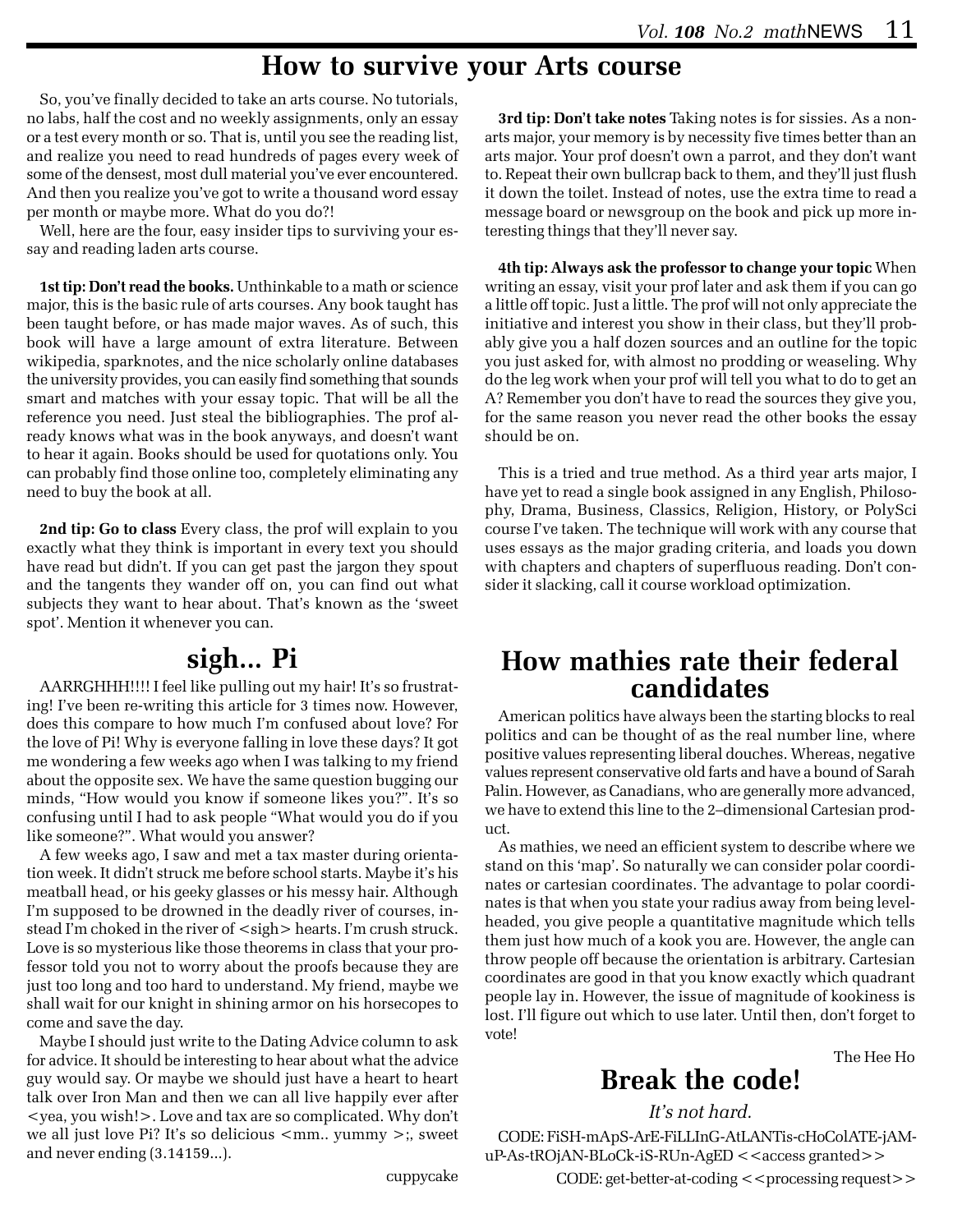### **How to survive your Arts course**

So, you've finally decided to take an arts course. No tutorials, no labs, half the cost and no weekly assignments, only an essay or a test every month or so. That is, until you see the reading list, and realize you need to read hundreds of pages every week of some of the densest, most dull material you've ever encountered. And then you realize you've got to write a thousand word essay per month or maybe more. What do you do?!

Well, here are the four, easy insider tips to surviving your essay and reading laden arts course.

**1st tip: Don't read the books.** Unthinkable to a math or science major, this is the basic rule of arts courses. Any book taught has been taught before, or has made major waves. As of such, this book will have a large amount of extra literature. Between wikipedia, sparknotes, and the nice scholarly online databases the university provides, you can easily find something that sounds smart and matches with your essay topic. That will be all the reference you need. Just steal the bibliographies. The prof already knows what was in the book anyways, and doesn't want to hear it again. Books should be used for quotations only. You can probably find those online too, completely eliminating any need to buy the book at all.

**2nd tip: Go to class** Every class, the prof will explain to you exactly what they think is important in every text you should have read but didn't. If you can get past the jargon they spout and the tangents they wander off on, you can find out what subjects they want to hear about. That's known as the 'sweet spot'. Mention it whenever you can.

## **sigh... Pi**

AARRGHHH!!!! I feel like pulling out my hair! It's so frustrating! I've been re-writing this article for 3 times now. However, does this compare to how much I'm confused about love? For the love of Pi! Why is everyone falling in love these days? It got me wondering a few weeks ago when I was talking to my friend about the opposite sex. We have the same question bugging our minds, "How would you know if someone likes you?". It's so confusing until I had to ask people "What would you do if you like someone?". What would you answer?

A few weeks ago, I saw and met a tax master during orientation week. It didn't struck me before school starts. Maybe it's his meatball head, or his geeky glasses or his messy hair. Although I'm supposed to be drowned in the deadly river of courses, instead I'm choked in the river of  $\langle$  sigh $\rangle$  hearts. I'm crush struck. Love is so mysterious like those theorems in class that your professor told you not to worry about the proofs because they are just too long and too hard to understand. My friend, maybe we shall wait for our knight in shining armor on his horsecopes to come and save the day.

Maybe I should just write to the Dating Advice column to ask for advice. It should be interesting to hear about what the advice guy would say. Or maybe we should just have a heart to heart talk over Iron Man and then we can all live happily ever after <yea, you wish!>. Love and tax are so complicated. Why don't we all just love Pi? It's so delicious <mm.. yummy >;, sweet and never ending (3.14159...).

**3rd tip: Don't take notes** Taking notes is for sissies. As a nonarts major, your memory is by necessity five times better than an arts major. Your prof doesn't own a parrot, and they don't want to. Repeat their own bullcrap back to them, and they'll just flush it down the toilet. Instead of notes, use the extra time to read a message board or newsgroup on the book and pick up more interesting things that they'll never say.

**4th tip: Always ask the professor to change your topic** When writing an essay, visit your prof later and ask them if you can go a little off topic. Just a little. The prof will not only appreciate the initiative and interest you show in their class, but they'll probably give you a half dozen sources and an outline for the topic you just asked for, with almost no prodding or weaseling. Why do the leg work when your prof will tell you what to do to get an A? Remember you don't have to read the sources they give you, for the same reason you never read the other books the essay should be on.

This is a tried and true method. As a third year arts major, I have yet to read a single book assigned in any English, Philosophy, Drama, Business, Classics, Religion, History, or PolySci course I've taken. The technique will work with any course that uses essays as the major grading criteria, and loads you down with chapters and chapters of superfluous reading. Don't consider it slacking, call it course workload optimization.

### **How mathies rate their federal candidates**

American politics have always been the starting blocks to real politics and can be thought of as the real number line, where positive values representing liberal douches. Whereas, negative values represent conservative old farts and have a bound of Sarah Palin. However, as Canadians, who are generally more advanced, we have to extend this line to the 2–dimensional Cartesian product.

As mathies, we need an efficient system to describe where we stand on this 'map'. So naturally we can consider polar coordinates or cartesian coordinates. The advantage to polar coordinates is that when you state your radius away from being levelheaded, you give people a quantitative magnitude which tells them just how much of a kook you are. However, the angle can throw people off because the orientation is arbitrary. Cartesian coordinates are good in that you know exactly which quadrant people lay in. However, the issue of magnitude of kookiness is lost. I'll figure out which to use later. Until then, don't forget to vote!

The Hee Ho

## **Break the code!**

*It's not hard.*

CODE: FiSH-mApS-ArE-FiLLInG-AtLANTis-cHoColATE-jAMuP-As-tROjAN-BLoCk-iS-RUn-AgED <<access granted>>

 $CODE: get-better-at-coding < <>processing request>$ 

cuppycake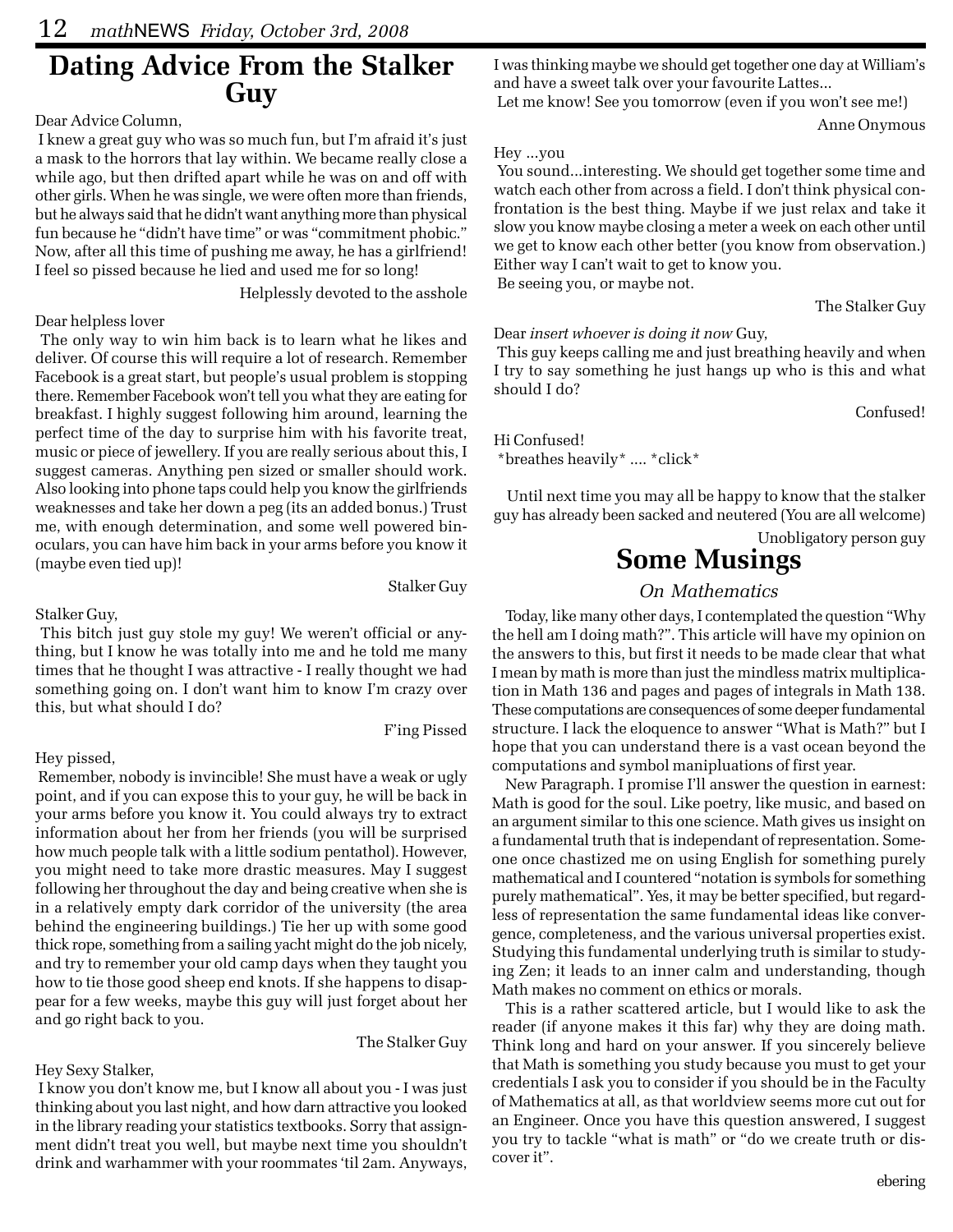## **Dating Advice From the Stalker Guy**

### Dear Advice Column,

 I knew a great guy who was so much fun, but I'm afraid it's just a mask to the horrors that lay within. We became really close a while ago, but then drifted apart while he was on and off with other girls. When he was single, we were often more than friends, but he always said that he didn't want anything more than physical fun because he "didn't have time" or was "commitment phobic." Now, after all this time of pushing me away, he has a girlfriend! I feel so pissed because he lied and used me for so long!

Helplessly devoted to the asshole

### Dear helpless lover

 The only way to win him back is to learn what he likes and deliver. Of course this will require a lot of research. Remember Facebook is a great start, but people's usual problem is stopping there. Remember Facebook won't tell you what they are eating for breakfast. I highly suggest following him around, learning the perfect time of the day to surprise him with his favorite treat, music or piece of jewellery. If you are really serious about this, I suggest cameras. Anything pen sized or smaller should work. Also looking into phone taps could help you know the girlfriends weaknesses and take her down a peg (its an added bonus.) Trust me, with enough determination, and some well powered binoculars, you can have him back in your arms before you know it (maybe even tied up)!

Stalker Guy,

 This bitch just guy stole my guy! We weren't official or anything, but I know he was totally into me and he told me many times that he thought I was attractive - I really thought we had something going on. I don't want him to know I'm crazy over this, but what should I do?

### Hey pissed,

 Remember, nobody is invincible! She must have a weak or ugly point, and if you can expose this to your guy, he will be back in your arms before you know it. You could always try to extract information about her from her friends (you will be surprised how much people talk with a little sodium pentathol). However, you might need to take more drastic measures. May I suggest following her throughout the day and being creative when she is in a relatively empty dark corridor of the university (the area behind the engineering buildings.) Tie her up with some good thick rope, something from a sailing yacht might do the job nicely, and try to remember your old camp days when they taught you how to tie those good sheep end knots. If she happens to disappear for a few weeks, maybe this guy will just forget about her and go right back to you.

The Stalker Guy

Stalker Guy

F'ing Pissed

### Hey Sexy Stalker,

 I know you don't know me, but I know all about you - I was just thinking about you last night, and how darn attractive you looked in the library reading your statistics textbooks. Sorry that assignment didn't treat you well, but maybe next time you shouldn't drink and warhammer with your roommates 'til 2am. Anyways, I was thinking maybe we should get together one day at William's and have a sweet talk over your favourite Lattes...

Let me know! See you tomorrow (even if you won't see me!)

Anne Onymous

#### Hey ...you

 You sound...interesting. We should get together some time and watch each other from across a field. I don't think physical confrontation is the best thing. Maybe if we just relax and take it slow you know maybe closing a meter a week on each other until we get to know each other better (you know from observation.) Either way I can't wait to get to know you. Be seeing you, or maybe not.

The Stalker Guy

Dear *insert whoever is doing it now* Guy,

 This guy keeps calling me and just breathing heavily and when I try to say something he just hangs up who is this and what should I do?

Confused!

Hi Confused! \*breathes heavily\* .... \*click\*

Until next time you may all be happy to know that the stalker guy has already been sacked and neutered (You are all welcome)

Unobligatory person guy

## **Some Musings**

### *On Mathematics*

Today, like many other days, I contemplated the question "Why the hell am I doing math?". This article will have my opinion on the answers to this, but first it needs to be made clear that what I mean by math is more than just the mindless matrix multiplication in Math 136 and pages and pages of integrals in Math 138. These computations are consequences of some deeper fundamental structure. I lack the eloquence to answer "What is Math?" but I hope that you can understand there is a vast ocean beyond the computations and symbol manipluations of first year.

New Paragraph. I promise I'll answer the question in earnest: Math is good for the soul. Like poetry, like music, and based on an argument similar to this one science. Math gives us insight on a fundamental truth that is independant of representation. Someone once chastized me on using English for something purely mathematical and I countered "notation is symbols for something purely mathematical". Yes, it may be better specified, but regardless of representation the same fundamental ideas like convergence, completeness, and the various universal properties exist. Studying this fundamental underlying truth is similar to studying Zen; it leads to an inner calm and understanding, though Math makes no comment on ethics or morals.

This is a rather scattered article, but I would like to ask the reader (if anyone makes it this far) why they are doing math. Think long and hard on your answer. If you sincerely believe that Math is something you study because you must to get your credentials I ask you to consider if you should be in the Faculty of Mathematics at all, as that worldview seems more cut out for an Engineer. Once you have this question answered, I suggest you try to tackle "what is math" or "do we create truth or discover it".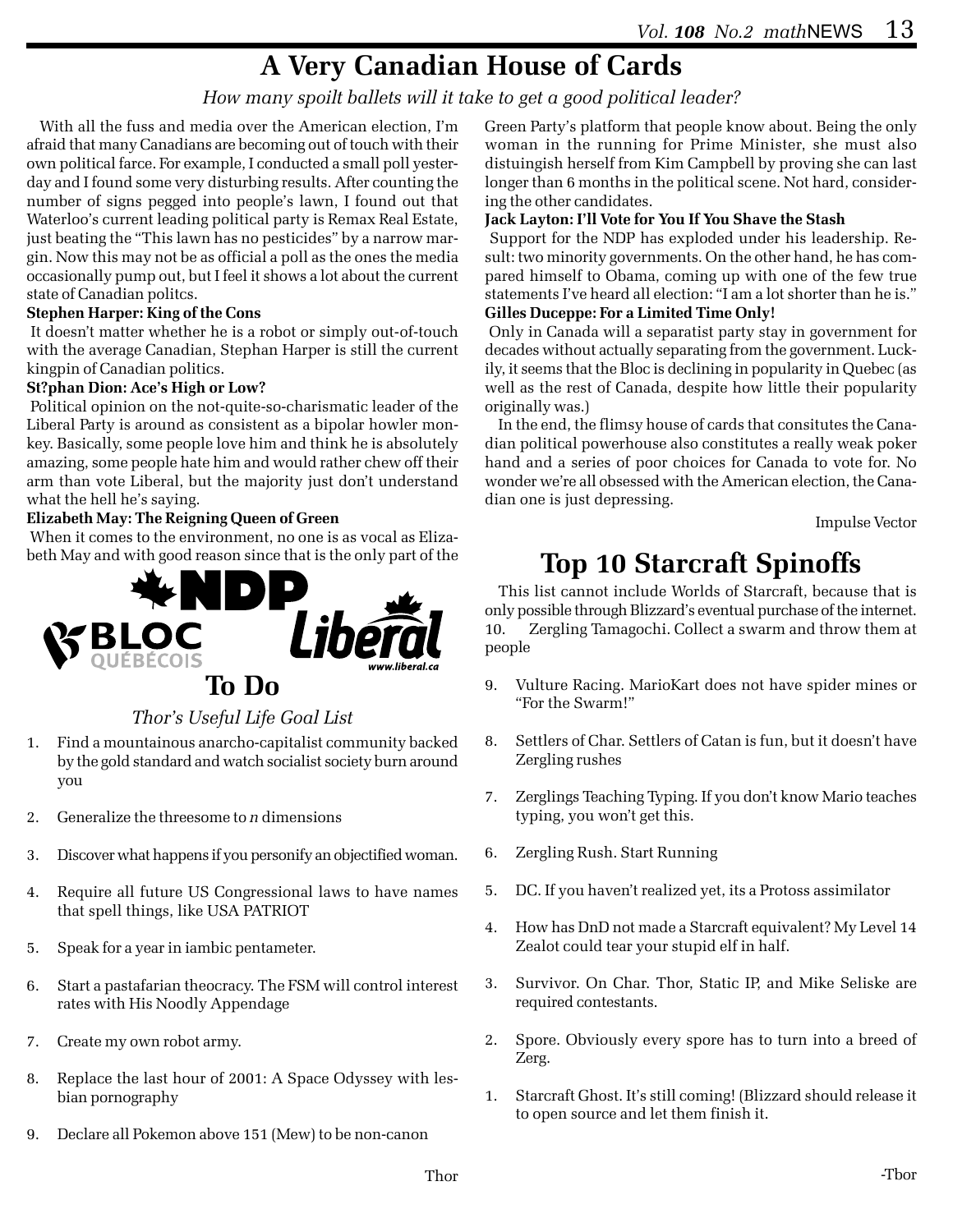## **A Very Canadian House of Cards**

### *How many spoilt ballets will it take to get a good political leader?*

With all the fuss and media over the American election, I'm afraid that many Canadians are becoming out of touch with their own political farce. For example, I conducted a small poll yesterday and I found some very disturbing results. After counting the number of signs pegged into people's lawn, I found out that Waterloo's current leading political party is Remax Real Estate, just beating the "This lawn has no pesticides" by a narrow margin. Now this may not be as official a poll as the ones the media occasionally pump out, but I feel it shows a lot about the current state of Canadian politcs.

#### **Stephen Harper: King of the Cons**

 It doesn't matter whether he is a robot or simply out-of-touch with the average Canadian, Stephan Harper is still the current kingpin of Canadian politics.

#### **St?phan Dion: Ace's High or Low?**

 Political opinion on the not-quite-so-charismatic leader of the Liberal Party is around as consistent as a bipolar howler monkey. Basically, some people love him and think he is absolutely amazing, some people hate him and would rather chew off their arm than vote Liberal, but the majority just don't understand what the hell he's saying.

#### **Elizabeth May: The Reigning Queen of Green**

 When it comes to the environment, no one is as vocal as Elizabeth May and with good reason since that is the only part of the



### *Thor's Useful Life Goal List*

- 1. Find a mountainous anarcho-capitalist community backed by the gold standard and watch socialist society burn around you
- 2. Generalize the threesome to *n* dimensions
- 3. Discover what happens if you personify an objectified woman.
- 4. Require all future US Congressional laws to have names that spell things, like USA PATRIOT
- 5. Speak for a year in iambic pentameter.
- 6. Start a pastafarian theocracy. The FSM will control interest rates with His Noodly Appendage
- 7. Create my own robot army.
- 8. Replace the last hour of 2001: A Space Odyssey with lesbian pornography
- 9. Declare all Pokemon above 151 (Mew) to be non-canon

Green Party's platform that people know about. Being the only woman in the running for Prime Minister, she must also distuingish herself from Kim Campbell by proving she can last longer than 6 months in the political scene. Not hard, considering the other candidates.

#### **Jack Layton: I'll Vote for You If You Shave the Stash**

 Support for the NDP has exploded under his leadership. Result: two minority governments. On the other hand, he has compared himself to Obama, coming up with one of the few true statements I've heard all election: "I am a lot shorter than he is."

### **Gilles Duceppe: For a Limited Time Only!**

 Only in Canada will a separatist party stay in government for decades without actually separating from the government. Luckily, it seems that the Bloc is declining in popularity in Quebec (as well as the rest of Canada, despite how little their popularity originally was.)

In the end, the flimsy house of cards that consitutes the Canadian political powerhouse also constitutes a really weak poker hand and a series of poor choices for Canada to vote for. No wonder we're all obsessed with the American election, the Canadian one is just depressing.

Impulse Vector

## **Top 10 Starcraft Spinoffs**

This list cannot include Worlds of Starcraft, because that is only possible through Blizzard's eventual purchase of the internet. 10. Zergling Tamagochi. Collect a swarm and throw them at people

- 9. Vulture Racing. MarioKart does not have spider mines or "For the Swarm!"
- 8. Settlers of Char. Settlers of Catan is fun, but it doesn't have Zergling rushes
- 7. Zerglings Teaching Typing. If you don't know Mario teaches typing, you won't get this.
- 6. Zergling Rush. Start Running
- 5. DC. If you haven't realized yet, its a Protoss assimilator
- 4. How has DnD not made a Starcraft equivalent? My Level 14 Zealot could tear your stupid elf in half.
- 3. Survivor. On Char. Thor, Static IP, and Mike Seliske are required contestants.
- 2. Spore. Obviously every spore has to turn into a breed of Zerg.
- 1. Starcraft Ghost. It's still coming! (Blizzard should release it to open source and let them finish it.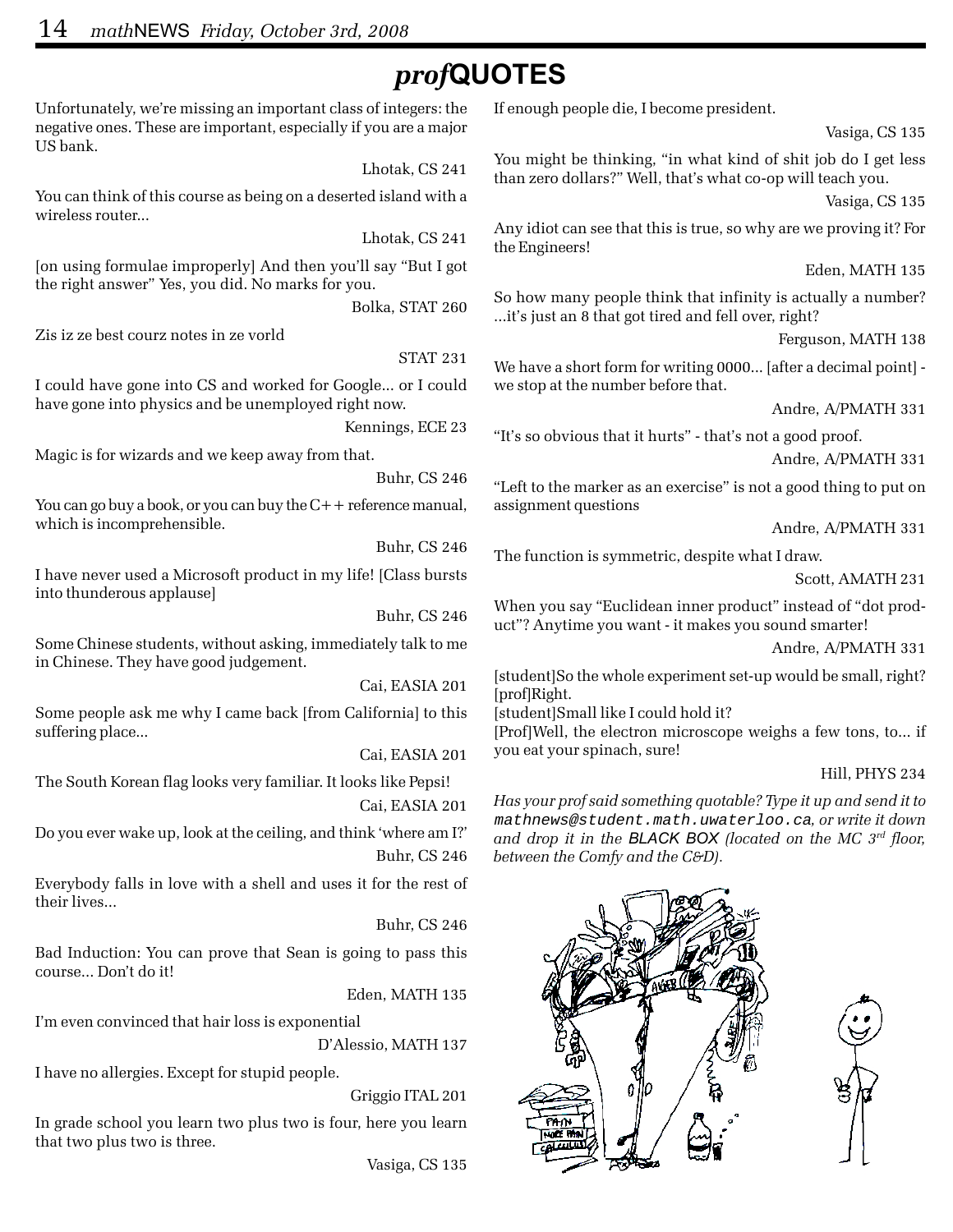## *prof***QUOTES**

Unfortunately, we're missing an important class of integers: the negative ones. These are important, especially if you are a major US bank.

Lhotak, CS 241

You can think of this course as being on a deserted island with a wireless router...

Lhotak, CS 241

[on using formulae improperly] And then you'll say "But I got the right answer" Yes, you did. No marks for you.

Bolka, STAT 260

Zis iz ze best courz notes in ze vorld

STAT 231

I could have gone into CS and worked for Google... or I could have gone into physics and be unemployed right now.

Kennings, ECE 23

Magic is for wizards and we keep away from that.

Buhr, CS 246

You can go buy a book, or you can buy the  $C++$  reference manual, which is incomprehensible.

Buhr, CS 246

I have never used a Microsoft product in my life! [Class bursts into thunderous applause]

Buhr, CS 246

Some Chinese students, without asking, immediately talk to me in Chinese. They have good judgement.

Cai, EASIA 201

Some people ask me why I came back [from California] to this suffering place...

Cai, EASIA 201

The South Korean flag looks very familiar. It looks like Pepsi!

Cai, EASIA 201

Do you ever wake up, look at the ceiling, and think 'where am I?' Buhr, CS 246

Everybody falls in love with a shell and uses it for the rest of their lives...

Buhr, CS 246

Bad Induction: You can prove that Sean is going to pass this course... Don't do it!

Eden, MATH 135

I'm even convinced that hair loss is exponential

D'Alessio, MATH 137

I have no allergies. Except for stupid people.

Griggio ITAL 201

In grade school you learn two plus two is four, here you learn that two plus two is three.

Vasiga, CS 135

If enough people die, I become president.

Vasiga, CS 135

You might be thinking, "in what kind of shit job do I get less than zero dollars?" Well, that's what co-op will teach you.

Vasiga, CS 135

Any idiot can see that this is true, so why are we proving it? For the Engineers!

Eden, MATH 135

So how many people think that infinity is actually a number? ...it's just an 8 that got tired and fell over, right?

Ferguson, MATH 138

We have a short form for writing 0000... [after a decimal point] we stop at the number before that.

Andre, A/PMATH 331

"It's so obvious that it hurts" - that's not a good proof.

Andre, A/PMATH 331

"Left to the marker as an exercise" is not a good thing to put on assignment questions

Andre, A/PMATH 331

The function is symmetric, despite what I draw.

Scott, AMATH 231

When you say "Euclidean inner product" instead of "dot product"? Anytime you want - it makes you sound smarter!

Andre, A/PMATH 331

[student]So the whole experiment set-up would be small, right? [prof]Right.

[student]Small like I could hold it?

[Prof]Well, the electron microscope weighs a few tons, to... if you eat your spinach, sure!

#### Hill, PHYS 234

*Has your prof said something quotable? Type it up and send it to* mathnews@student.math.uwaterloo.ca*, or write it down and drop it in the BLACK BOX (located on the MC 3rd floor, between the Comfy and the C&D).*

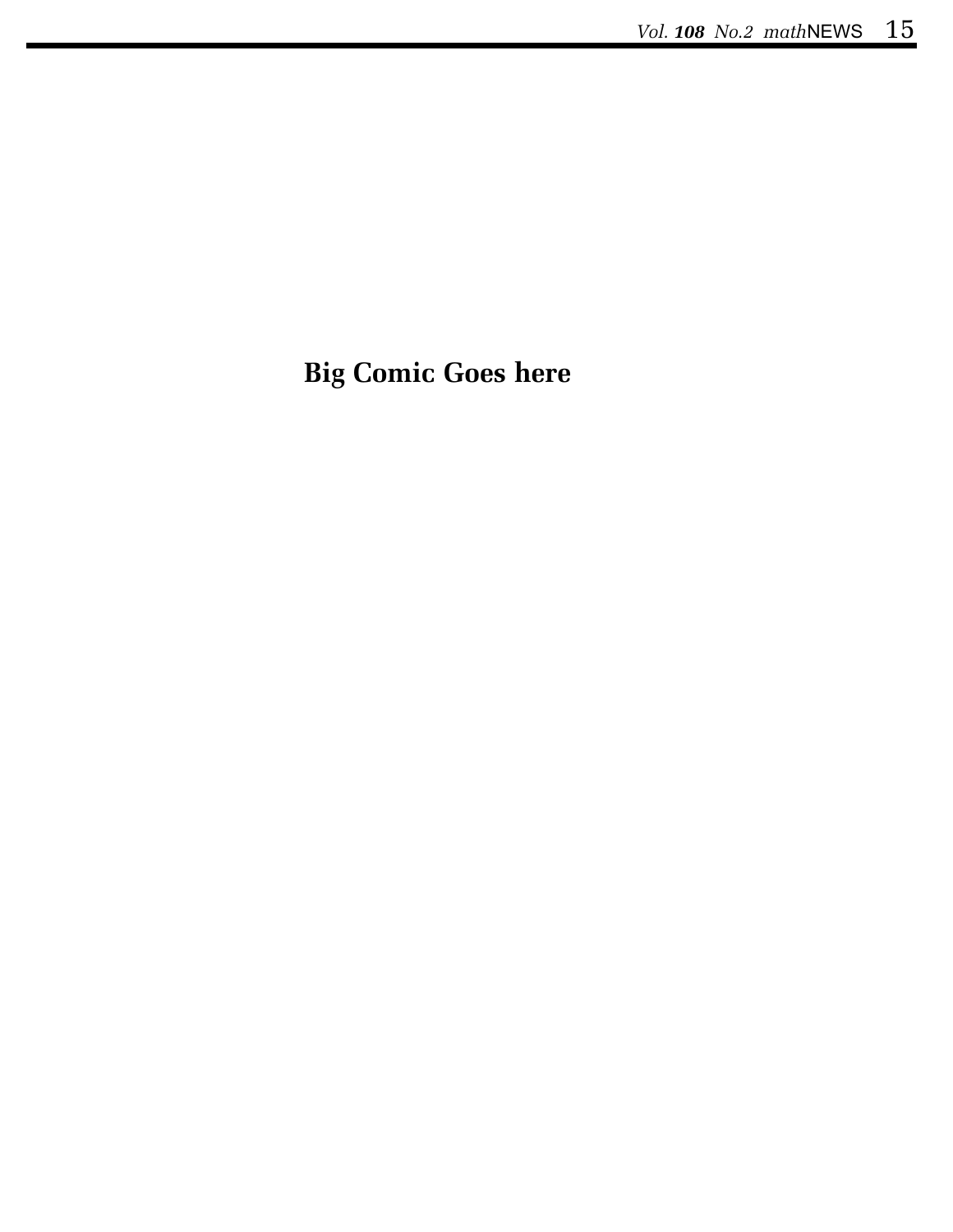# **Big Comic Goes here**